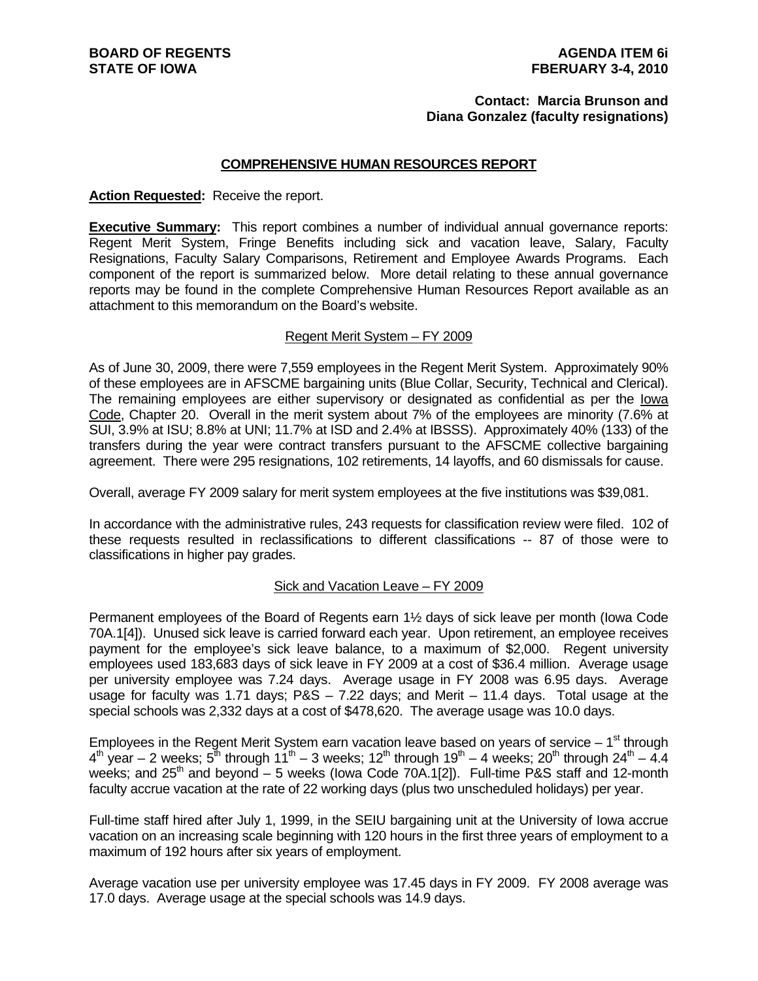#### **Contact: Marcia Brunson and Diana Gonzalez (faculty resignations)**

#### **COMPREHENSIVE HUMAN RESOURCES REPORT**

#### **Action Requested:** Receive the report.

**Executive Summary:** This report combines a number of individual annual governance reports: Regent Merit System, Fringe Benefits including sick and vacation leave, Salary, Faculty Resignations, Faculty Salary Comparisons, Retirement and Employee Awards Programs. Each component of the report is summarized below. More detail relating to these annual governance reports may be found in the complete Comprehensive Human Resources Report available as an attachment to this memorandum on the Board's website.

#### Regent Merit System – FY 2009

As of June 30, 2009, there were 7,559 employees in the Regent Merit System. Approximately 90% of these employees are in AFSCME bargaining units (Blue Collar, Security, Technical and Clerical). The remaining employees are either supervisory or designated as confidential as per the Iowa Code, Chapter 20. Overall in the merit system about 7% of the employees are minority (7.6% at SUI, 3.9% at ISU; 8.8% at UNI; 11.7% at ISD and 2.4% at IBSSS). Approximately 40% (133) of the transfers during the year were contract transfers pursuant to the AFSCME collective bargaining agreement. There were 295 resignations, 102 retirements, 14 layoffs, and 60 dismissals for cause.

Overall, average FY 2009 salary for merit system employees at the five institutions was \$39,081.

In accordance with the administrative rules, 243 requests for classification review were filed. 102 of these requests resulted in reclassifications to different classifications -- 87 of those were to classifications in higher pay grades.

#### Sick and Vacation Leave – FY 2009

Permanent employees of the Board of Regents earn 1½ days of sick leave per month (Iowa Code 70A.1[4]). Unused sick leave is carried forward each year. Upon retirement, an employee receives payment for the employee's sick leave balance, to a maximum of \$2,000. Regent university employees used 183,683 days of sick leave in FY 2009 at a cost of \$36.4 million. Average usage per university employee was 7.24 days. Average usage in FY 2008 was 6.95 days. Average usage for faculty was 1.71 days;  $PAS - 7.22$  days; and Merit  $- 11.4$  days. Total usage at the special schools was 2,332 days at a cost of \$478,620. The average usage was 10.0 days.

Employees in the Regent Merit System earn vacation leave based on years of service  $-1<sup>st</sup>$  through  $4<sup>th</sup>$  year – 2 weeks;  $5<sup>th</sup>$  through  $11<sup>th</sup>$  – 3 weeks;  $12<sup>th</sup>$  through  $19<sup>th</sup>$  – 4 weeks;  $20<sup>th</sup>$  through  $24<sup>th</sup>$  – 4.4 weeks; and  $25<sup>th</sup>$  and beyond – 5 weeks (lowa Code 70A.1[2]). Full-time P&S staff and 12-month faculty accrue vacation at the rate of 22 working days (plus two unscheduled holidays) per year.

Full-time staff hired after July 1, 1999, in the SEIU bargaining unit at the University of Iowa accrue vacation on an increasing scale beginning with 120 hours in the first three years of employment to a maximum of 192 hours after six years of employment.

Average vacation use per university employee was 17.45 days in FY 2009. FY 2008 average was 17.0 days. Average usage at the special schools was 14.9 days.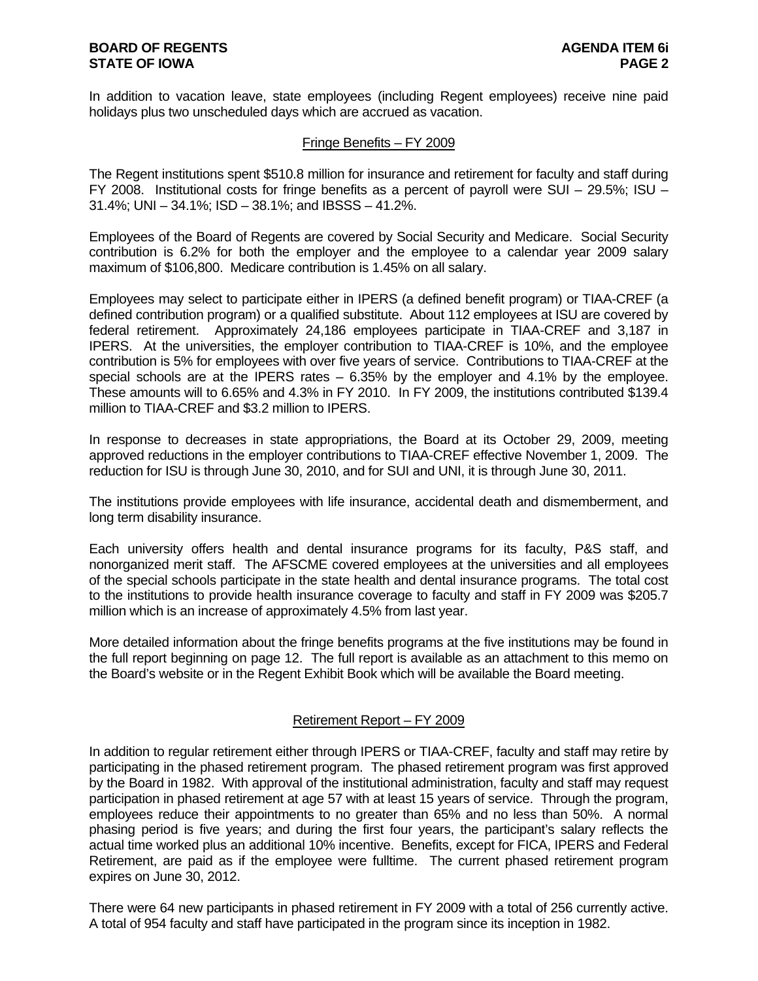In addition to vacation leave, state employees (including Regent employees) receive nine paid holidays plus two unscheduled days which are accrued as vacation.

#### Fringe Benefits – FY 2009

The Regent institutions spent \$510.8 million for insurance and retirement for faculty and staff during FY 2008. Institutional costs for fringe benefits as a percent of payroll were SUI – 29.5%; ISU – 31.4%; UNI – 34.1%; ISD – 38.1%; and IBSSS – 41.2%.

Employees of the Board of Regents are covered by Social Security and Medicare. Social Security contribution is 6.2% for both the employer and the employee to a calendar year 2009 salary maximum of \$106,800. Medicare contribution is 1.45% on all salary.

Employees may select to participate either in IPERS (a defined benefit program) or TIAA-CREF (a defined contribution program) or a qualified substitute. About 112 employees at ISU are covered by federal retirement. Approximately 24,186 employees participate in TIAA-CREF and 3,187 in IPERS. At the universities, the employer contribution to TIAA-CREF is 10%, and the employee contribution is 5% for employees with over five years of service. Contributions to TIAA-CREF at the special schools are at the IPERS rates  $-6.35\%$  by the employer and 4.1% by the employee. These amounts will to 6.65% and 4.3% in FY 2010. In FY 2009, the institutions contributed \$139.4 million to TIAA-CREF and \$3.2 million to IPERS.

In response to decreases in state appropriations, the Board at its October 29, 2009, meeting approved reductions in the employer contributions to TIAA-CREF effective November 1, 2009. The reduction for ISU is through June 30, 2010, and for SUI and UNI, it is through June 30, 2011.

The institutions provide employees with life insurance, accidental death and dismemberment, and long term disability insurance.

Each university offers health and dental insurance programs for its faculty, P&S staff, and nonorganized merit staff. The AFSCME covered employees at the universities and all employees of the special schools participate in the state health and dental insurance programs. The total cost to the institutions to provide health insurance coverage to faculty and staff in FY 2009 was \$205.7 million which is an increase of approximately 4.5% from last year.

More detailed information about the fringe benefits programs at the five institutions may be found in the full report beginning on page 12. The full report is available as an attachment to this memo on the Board's website or in the Regent Exhibit Book which will be available the Board meeting.

#### Retirement Report – FY 2009

In addition to regular retirement either through IPERS or TIAA-CREF, faculty and staff may retire by participating in the phased retirement program. The phased retirement program was first approved by the Board in 1982. With approval of the institutional administration, faculty and staff may request participation in phased retirement at age 57 with at least 15 years of service. Through the program, employees reduce their appointments to no greater than 65% and no less than 50%. A normal phasing period is five years; and during the first four years, the participant's salary reflects the actual time worked plus an additional 10% incentive. Benefits, except for FICA, IPERS and Federal Retirement, are paid as if the employee were fulltime. The current phased retirement program expires on June 30, 2012.

There were 64 new participants in phased retirement in FY 2009 with a total of 256 currently active. A total of 954 faculty and staff have participated in the program since its inception in 1982.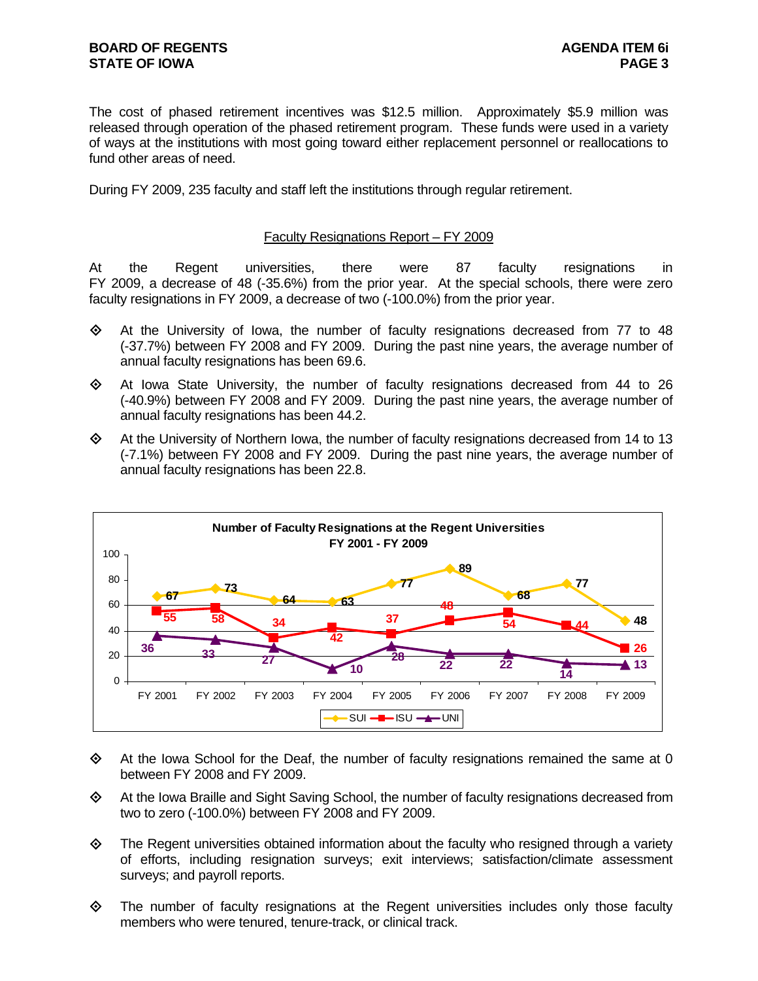The cost of phased retirement incentives was \$12.5 million. Approximately \$5.9 million was released through operation of the phased retirement program. These funds were used in a variety of ways at the institutions with most going toward either replacement personnel or reallocations to fund other areas of need.

During FY 2009, 235 faculty and staff left the institutions through regular retirement.

#### Faculty Resignations Report – FY 2009

At the Regent universities, there were 87 faculty resignations in FY 2009, a decrease of 48 (-35.6%) from the prior year. At the special schools, there were zero faculty resignations in FY 2009, a decrease of two (-100.0%) from the prior year.

- $\Leftrightarrow$  At the University of Iowa, the number of faculty resignations decreased from 77 to 48 (-37.7%) between FY 2008 and FY 2009. During the past nine years, the average number of annual faculty resignations has been 69.6.
- $\diamond$  At Iowa State University, the number of faculty resignations decreased from 44 to 26 (-40.9%) between FY 2008 and FY 2009. During the past nine years, the average number of annual faculty resignations has been 44.2.
- $\diamond$  At the University of Northern Iowa, the number of faculty resignations decreased from 14 to 13 (-7.1%) between FY 2008 and FY 2009. During the past nine years, the average number of annual faculty resignations has been 22.8.



- $\Leftrightarrow$  At the Iowa School for the Deaf, the number of faculty resignations remained the same at 0 between FY 2008 and FY 2009.
- At the Iowa Braille and Sight Saving School, the number of faculty resignations decreased from two to zero (-100.0%) between FY 2008 and FY 2009.
- $\diamond$  The Regent universities obtained information about the faculty who resigned through a variety of efforts, including resignation surveys; exit interviews; satisfaction/climate assessment surveys; and payroll reports.
- $\Leftrightarrow$  The number of faculty resignations at the Regent universities includes only those faculty members who were tenured, tenure-track, or clinical track.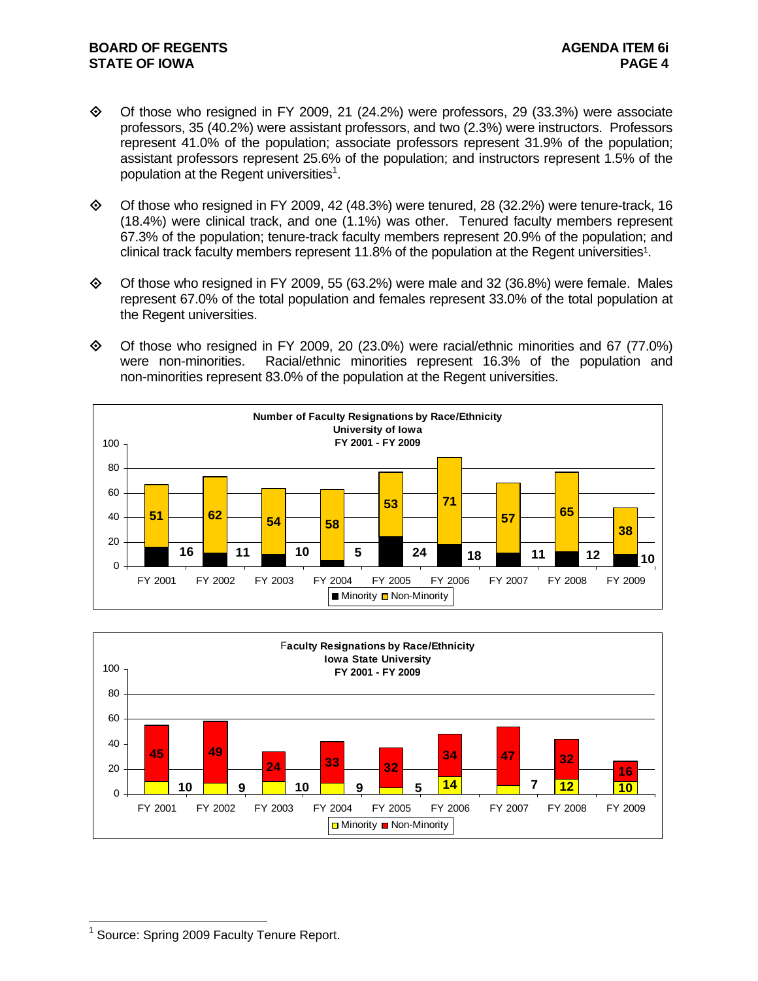- $\diamond$  Of those who resigned in FY 2009, 21 (24.2%) were professors, 29 (33.3%) were associate professors, 35 (40.2%) were assistant professors, and two (2.3%) were instructors. Professors represent 41.0% of the population; associate professors represent 31.9% of the population; assistant professors represent 25.6% of the population; and instructors represent 1.5% of the population at the Regent universities<sup>1</sup>.
- $\diamond$  Of those who resigned in FY 2009, 42 (48.3%) were tenured, 28 (32.2%) were tenure-track, 16 (18.4%) were clinical track, and one (1.1%) was other. Tenured faculty members represent 67.3% of the population; tenure-track faculty members represent 20.9% of the population; and clinical track faculty members represent 11.8% of the population at the Regent universities<sup>1</sup>.
- $\diamond$  Of those who resigned in FY 2009, 55 (63.2%) were male and 32 (36.8%) were female. Males represent 67.0% of the total population and females represent 33.0% of the total population at the Regent universities.
- $\Diamond$  Of those who resigned in FY 2009, 20 (23.0%) were racial/ethnic minorities and 67 (77.0%) were non-minorities. Racial/ethnic minorities represent 16.3% of the population and non-minorities represent 83.0% of the population at the Regent universities.





 $\overline{a}$ <sup>1</sup> Source: Spring 2009 Faculty Tenure Report.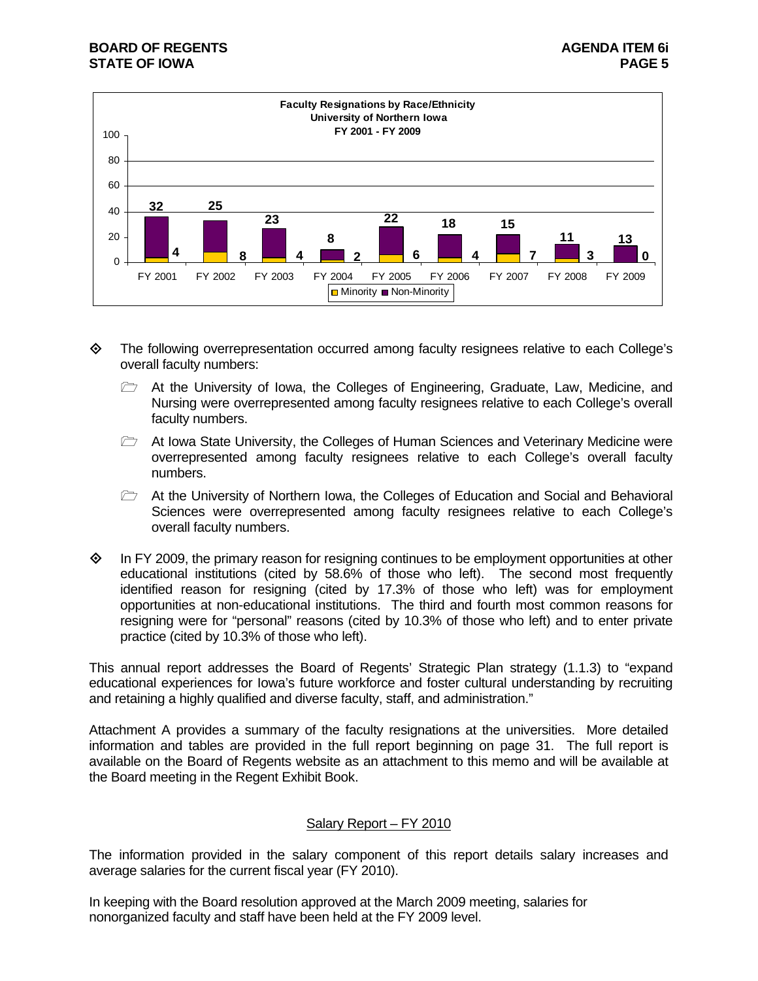

- The following overrepresentation occurred among faculty resignees relative to each College's overall faculty numbers:
	- At the University of Iowa, the Colleges of Engineering, Graduate, Law, Medicine, and Nursing were overrepresented among faculty resignees relative to each College's overall faculty numbers.
	- $\triangleright$  At Iowa State University, the Colleges of Human Sciences and Veterinary Medicine were overrepresented among faculty resignees relative to each College's overall faculty numbers.
	- $\triangleright$  At the University of Northern Iowa, the Colleges of Education and Social and Behavioral Sciences were overrepresented among faculty resignees relative to each College's overall faculty numbers.
- $\diamond$  In FY 2009, the primary reason for resigning continues to be employment opportunities at other educational institutions (cited by 58.6% of those who left). The second most frequently identified reason for resigning (cited by 17.3% of those who left) was for employment opportunities at non-educational institutions. The third and fourth most common reasons for resigning were for "personal" reasons (cited by 10.3% of those who left) and to enter private practice (cited by 10.3% of those who left).

This annual report addresses the Board of Regents' Strategic Plan strategy (1.1.3) to "expand educational experiences for Iowa's future workforce and foster cultural understanding by recruiting and retaining a highly qualified and diverse faculty, staff, and administration."

Attachment A provides a summary of the faculty resignations at the universities. More detailed information and tables are provided in the full report beginning on page 31. The full report is available on the Board of Regents website as an attachment to this memo and will be available at the Board meeting in the Regent Exhibit Book.

#### Salary Report – FY 2010

The information provided in the salary component of this report details salary increases and average salaries for the current fiscal year (FY 2010).

In keeping with the Board resolution approved at the March 2009 meeting, salaries for nonorganized faculty and staff have been held at the FY 2009 level.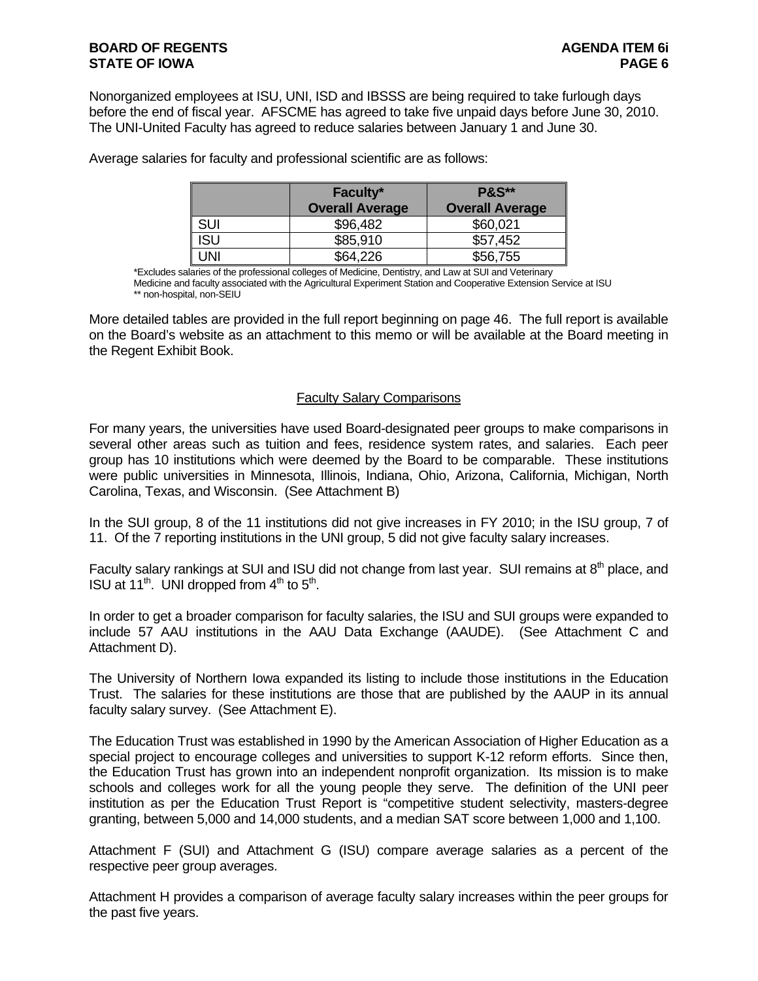Nonorganized employees at ISU, UNI, ISD and IBSSS are being required to take furlough days before the end of fiscal year. AFSCME has agreed to take five unpaid days before June 30, 2010. The UNI-United Faculty has agreed to reduce salaries between January 1 and June 30.

|            | Faculty*               | <b>P&amp;S**</b>       |
|------------|------------------------|------------------------|
|            | <b>Overall Average</b> | <b>Overall Average</b> |
| sui        | \$96,482               | \$60,021               |
| <b>ISU</b> | \$85,910               | \$57,452               |
| JNI        | \$64,226               | \$56,755               |

Average salaries for faculty and professional scientific are as follows:

\*Excludes salaries of the professional colleges of Medicine, Dentistry, and Law at SUI and Veterinary Medicine and faculty associated with the Agricultural Experiment Station and Cooperative Extension Service at ISU \*\* non-hospital, non-SEIU

More detailed tables are provided in the full report beginning on page 46. The full report is available on the Board's website as an attachment to this memo or will be available at the Board meeting in the Regent Exhibit Book.

#### Faculty Salary Comparisons

For many years, the universities have used Board-designated peer groups to make comparisons in several other areas such as tuition and fees, residence system rates, and salaries. Each peer group has 10 institutions which were deemed by the Board to be comparable. These institutions were public universities in Minnesota, Illinois, Indiana, Ohio, Arizona, California, Michigan, North Carolina, Texas, and Wisconsin. (See Attachment B)

In the SUI group, 8 of the 11 institutions did not give increases in FY 2010; in the ISU group, 7 of 11. Of the 7 reporting institutions in the UNI group, 5 did not give faculty salary increases.

Faculty salary rankings at SUI and ISU did not change from last year. SUI remains at 8<sup>th</sup> place, and ISU at  $11^{th}$ . UNI dropped from  $4^{th}$  to  $5^{th}$ .

In order to get a broader comparison for faculty salaries, the ISU and SUI groups were expanded to include 57 AAU institutions in the AAU Data Exchange (AAUDE). (See Attachment C and Attachment D).

The University of Northern Iowa expanded its listing to include those institutions in the Education Trust. The salaries for these institutions are those that are published by the AAUP in its annual faculty salary survey. (See Attachment E).

The Education Trust was established in 1990 by the American Association of Higher Education as a special project to encourage colleges and universities to support K-12 reform efforts. Since then, the Education Trust has grown into an independent nonprofit organization. Its mission is to make schools and colleges work for all the young people they serve. The definition of the UNI peer institution as per the Education Trust Report is "competitive student selectivity, masters-degree granting, between 5,000 and 14,000 students, and a median SAT score between 1,000 and 1,100.

Attachment F (SUI) and Attachment G (ISU) compare average salaries as a percent of the respective peer group averages.

Attachment H provides a comparison of average faculty salary increases within the peer groups for the past five years.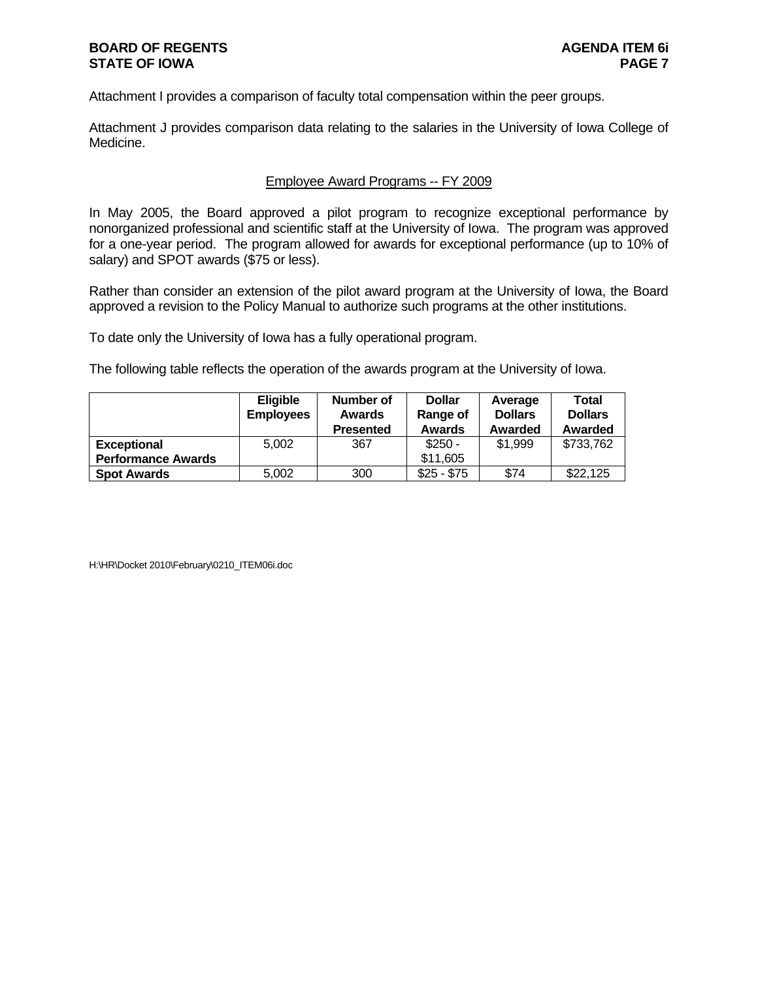Attachment I provides a comparison of faculty total compensation within the peer groups.

Attachment J provides comparison data relating to the salaries in the University of Iowa College of Medicine.

#### Employee Award Programs -- FY 2009

In May 2005, the Board approved a pilot program to recognize exceptional performance by nonorganized professional and scientific staff at the University of Iowa. The program was approved for a one-year period. The program allowed for awards for exceptional performance (up to 10% of salary) and SPOT awards (\$75 or less).

Rather than consider an extension of the pilot award program at the University of Iowa, the Board approved a revision to the Policy Manual to authorize such programs at the other institutions.

To date only the University of Iowa has a fully operational program.

The following table reflects the operation of the awards program at the University of Iowa.

|                           | <b>Eligible</b>  | Number of        | <b>Dollar</b> | Average        | <b>Total</b>   |  |  |
|---------------------------|------------------|------------------|---------------|----------------|----------------|--|--|
|                           | <b>Employees</b> | <b>Awards</b>    | Range of      | <b>Dollars</b> | <b>Dollars</b> |  |  |
|                           |                  | <b>Presented</b> | <b>Awards</b> | Awarded        | Awarded        |  |  |
| <b>Exceptional</b>        | 5.002            | 367              | $$250 -$      | \$1,999        | \$733,762      |  |  |
| <b>Performance Awards</b> |                  |                  | \$11,605      |                |                |  |  |
| <b>Spot Awards</b>        | 5.002            | 300              | $$25 - $75$   | \$74           | \$22,125       |  |  |

H:\HR\Docket 2010\February\0210\_ITEM06i.doc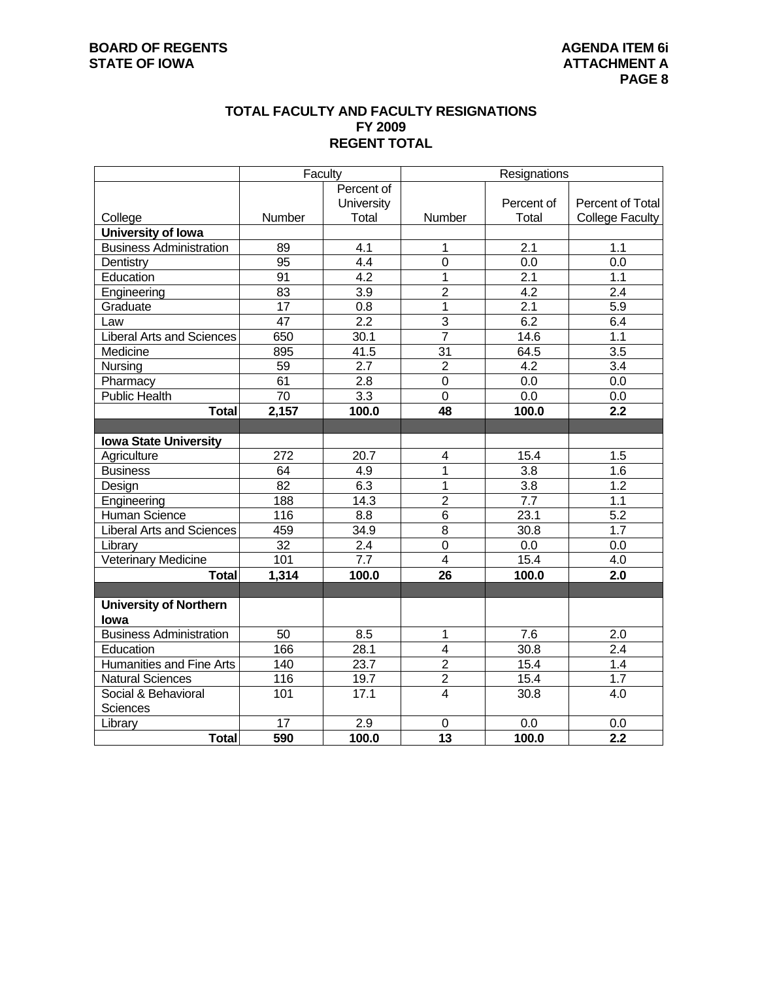#### **TOTAL FACULTY AND FACULTY RESIGNATIONS FY 2009 REGENT TOTAL**

|                                  | Faculty          |                   | Resignations    |                   |                        |  |  |  |
|----------------------------------|------------------|-------------------|-----------------|-------------------|------------------------|--|--|--|
|                                  |                  | Percent of        |                 |                   |                        |  |  |  |
|                                  |                  | <b>University</b> |                 | Percent of        | Percent of Total       |  |  |  |
| College                          | Number           | Total             | Number          | Total             | <b>College Faculty</b> |  |  |  |
| University of Iowa               |                  |                   |                 |                   |                        |  |  |  |
| <b>Business Administration</b>   | 89               | 4.1               | 1               | $\overline{2.1}$  | 1.1                    |  |  |  |
| Dentistry                        | $\overline{95}$  | 4.4               | 0               | 0.0               | 0.0                    |  |  |  |
| Education                        | 91               | $\overline{4.2}$  | 1               | 2.1               | 1.1                    |  |  |  |
| Engineering                      | 83               | 3.9               | $\overline{2}$  | 4.2               | 2.4                    |  |  |  |
| Graduate                         | 17               | 0.8               | 1               | 2.1               | 5.9                    |  |  |  |
| Law                              | $\overline{47}$  | 2.2               | $\overline{3}$  | 6.2               | 6.4                    |  |  |  |
| <b>Liberal Arts and Sciences</b> | 650              | 30.1              | $\overline{7}$  | 14.6              | 1.1                    |  |  |  |
| Medicine                         | 895              | 41.5              | $\overline{31}$ | 64.5              | $\overline{3.5}$       |  |  |  |
| Nursing                          | 59               | $\overline{2.7}$  | $\overline{2}$  | 4.2               | $\overline{3.4}$       |  |  |  |
| Pharmacy                         | 61               | $2.\overline{8}$  | 0               | 0.0               | 0.0                    |  |  |  |
| <b>Public Health</b>             | $\overline{70}$  | 3.3               | $\overline{0}$  | $\overline{0.0}$  | 0.0                    |  |  |  |
| <b>Total</b>                     | 2,157            | 100.0             | 48              | 100.0             | 2.2                    |  |  |  |
|                                  |                  |                   |                 |                   |                        |  |  |  |
| <b>Iowa State University</b>     |                  |                   |                 |                   |                        |  |  |  |
| Agriculture                      | $\overline{272}$ | $\overline{20.7}$ | 4               | 15.4              | 1.5                    |  |  |  |
| <b>Business</b>                  | 64               | 4.9               | $\overline{1}$  | $\overline{3.8}$  | 1.6                    |  |  |  |
| Design                           | 82               | 6.3               | 1               | 3.8               | 1.2                    |  |  |  |
| Engineering                      | 188              | 14.3              | $\overline{2}$  | 7.7               | 1.1                    |  |  |  |
| Human Science                    | 116              | $\overline{8.8}$  | $\overline{6}$  | 23.1              | $\overline{5.2}$       |  |  |  |
| <b>Liberal Arts and Sciences</b> | 459              | 34.9              | $\overline{8}$  | 30.8              | $\overline{1.7}$       |  |  |  |
| Library                          | $\overline{32}$  | $\overline{2.4}$  | $\overline{0}$  | $\overline{0.0}$  | 0.0                    |  |  |  |
| <b>Veterinary Medicine</b>       | 101              | $\overline{7.7}$  | $\overline{4}$  | 15.4              | 4.0                    |  |  |  |
| <b>Total</b>                     | 1,314            | 100.0             | 26              | 100.0             | 2.0                    |  |  |  |
|                                  |                  |                   |                 |                   |                        |  |  |  |
| <b>University of Northern</b>    |                  |                   |                 |                   |                        |  |  |  |
| lowa                             |                  |                   |                 |                   |                        |  |  |  |
| <b>Business Administration</b>   | 50               | 8.5               | 1               | 7.6               | 2.0                    |  |  |  |
| Education                        | 166              | 28.1              | $\overline{4}$  | $\overline{30.8}$ | $\overline{2.4}$       |  |  |  |
| <b>Humanities and Fine Arts</b>  | 140              | 23.7              | $\overline{2}$  | 15.4              | 1.4                    |  |  |  |
| <b>Natural Sciences</b>          | 116              | 19.7              | $\overline{c}$  | 15.4              | 1.7                    |  |  |  |
| Social & Behavioral              | 101              | 17.1              | $\overline{4}$  | 30.8              | 4.0                    |  |  |  |
| <b>Sciences</b>                  |                  |                   |                 |                   |                        |  |  |  |
| Library                          | 17               | 2.9               | 0               | 0.0               | 0.0                    |  |  |  |
| <b>Total</b>                     | 590              | 100.0             | $\overline{13}$ | 100.0             | $\overline{2.2}$       |  |  |  |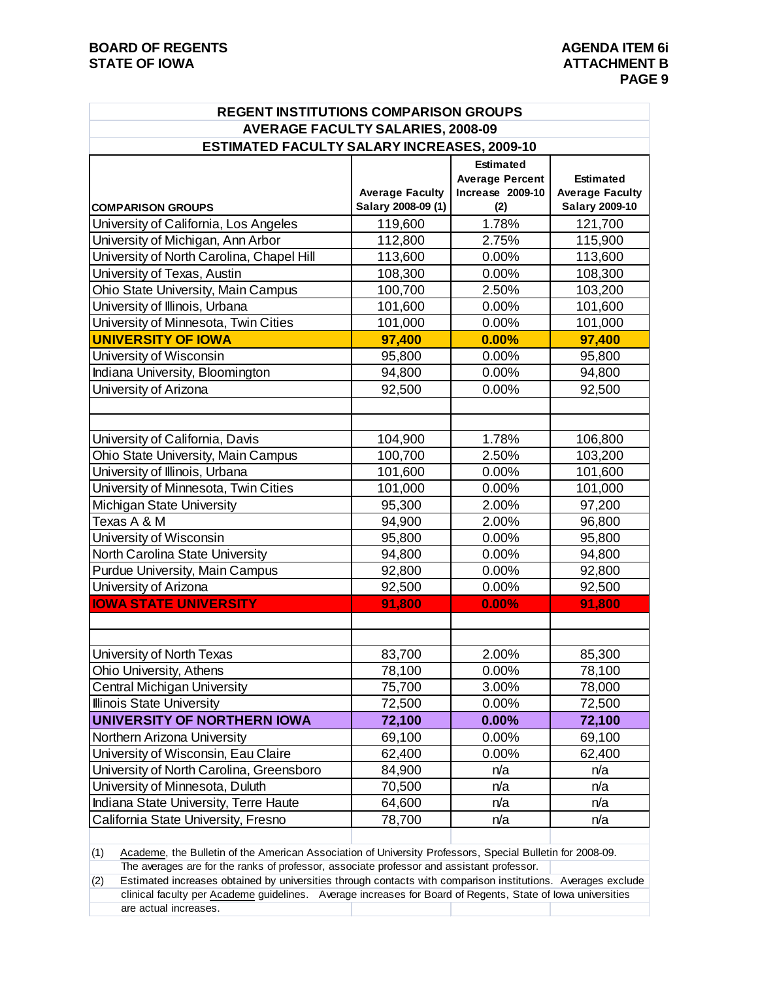| <b>REGENT INSTITUTIONS COMPARISON GROUPS</b> |                                              |                        |                                                 |  |  |  |  |  |  |  |  |
|----------------------------------------------|----------------------------------------------|------------------------|-------------------------------------------------|--|--|--|--|--|--|--|--|
| <b>AVERAGE FACULTY SALARIES, 2008-09</b>     |                                              |                        |                                                 |  |  |  |  |  |  |  |  |
| ESTIMATED FACULTY SALARY INCREASES, 2009-10  |                                              |                        |                                                 |  |  |  |  |  |  |  |  |
|                                              |                                              | <b>Estimated</b>       |                                                 |  |  |  |  |  |  |  |  |
|                                              |                                              | <b>Average Percent</b> | <b>Estimated</b>                                |  |  |  |  |  |  |  |  |
| <b>COMPARISON GROUPS</b>                     | <b>Average Faculty</b><br>Salary 2008-09 (1) | Increase 2009-10       | <b>Average Faculty</b><br><b>Salary 2009-10</b> |  |  |  |  |  |  |  |  |
| University of California, Los Angeles        | 119,600                                      | (2)<br>1.78%           | 121,700                                         |  |  |  |  |  |  |  |  |
| University of Michigan, Ann Arbor            | 112,800                                      | 2.75%                  | 115,900                                         |  |  |  |  |  |  |  |  |
| University of North Carolina, Chapel Hill    | 113,600                                      | 0.00%                  | 113,600                                         |  |  |  |  |  |  |  |  |
| University of Texas, Austin                  | 108,300                                      | 0.00%                  | 108,300                                         |  |  |  |  |  |  |  |  |
| Ohio State University, Main Campus           | 100,700                                      | 2.50%                  | 103,200                                         |  |  |  |  |  |  |  |  |
| University of Illinois, Urbana               | 101,600                                      | 0.00%                  | 101,600                                         |  |  |  |  |  |  |  |  |
| University of Minnesota, Twin Cities         | 101,000                                      | 0.00%                  | 101,000                                         |  |  |  |  |  |  |  |  |
| <b>UNIVERSITY OF IOWA</b>                    | 97,400                                       | 0.00%                  | 97,400                                          |  |  |  |  |  |  |  |  |
| University of Wisconsin                      | 95,800                                       | 0.00%                  | 95,800                                          |  |  |  |  |  |  |  |  |
| Indiana University, Bloomington              | 94,800                                       | 0.00%                  | 94,800                                          |  |  |  |  |  |  |  |  |
| University of Arizona                        | 92,500                                       | 0.00%                  | 92,500                                          |  |  |  |  |  |  |  |  |
|                                              |                                              |                        |                                                 |  |  |  |  |  |  |  |  |
|                                              |                                              |                        |                                                 |  |  |  |  |  |  |  |  |
| University of California, Davis              | 104,900                                      | 1.78%                  | 106,800                                         |  |  |  |  |  |  |  |  |
| Ohio State University, Main Campus           | 100,700                                      | 2.50%                  | 103,200                                         |  |  |  |  |  |  |  |  |
| University of Illinois, Urbana               | 101,600                                      | 0.00%                  | 101,600                                         |  |  |  |  |  |  |  |  |
| University of Minnesota, Twin Cities         | 101,000                                      | 0.00%                  | 101,000                                         |  |  |  |  |  |  |  |  |
| Michigan State University                    | 95,300                                       | 2.00%                  | 97,200                                          |  |  |  |  |  |  |  |  |
| Texas A & M                                  | 94,900                                       | 2.00%                  | 96,800                                          |  |  |  |  |  |  |  |  |
| University of Wisconsin                      | 95,800                                       | 0.00%                  | 95,800                                          |  |  |  |  |  |  |  |  |
| North Carolina State University              | 94,800                                       | 0.00%                  | 94,800                                          |  |  |  |  |  |  |  |  |
| Purdue University, Main Campus               | 92,800                                       | 0.00%                  | 92,800                                          |  |  |  |  |  |  |  |  |
| University of Arizona                        | 92,500                                       | 0.00%                  | 92,500                                          |  |  |  |  |  |  |  |  |
| <b>IOWA STATE UNIVERSITY</b>                 | 91,800                                       | 0.00%                  | 91,800                                          |  |  |  |  |  |  |  |  |
|                                              |                                              |                        |                                                 |  |  |  |  |  |  |  |  |
|                                              |                                              |                        |                                                 |  |  |  |  |  |  |  |  |
| University of North Texas                    | 83,700                                       | 2.00%                  | 85,300                                          |  |  |  |  |  |  |  |  |
| Ohio University, Athens                      | 78,100                                       | 0.00%                  | 78,100                                          |  |  |  |  |  |  |  |  |
| Central Michigan University                  | 75,700                                       | 3.00%                  | 78,000                                          |  |  |  |  |  |  |  |  |
| Illinois State University                    | 72,500                                       | 0.00%                  | 72,500                                          |  |  |  |  |  |  |  |  |
| <b>UNIVERSITY OF NORTHERN IOWA</b>           | 72,100                                       | 0.00%                  | 72,100                                          |  |  |  |  |  |  |  |  |
| Northern Arizona University                  | 69,100                                       | 0.00%                  | 69,100                                          |  |  |  |  |  |  |  |  |
| University of Wisconsin, Eau Claire          | 62,400                                       | 0.00%                  | 62,400                                          |  |  |  |  |  |  |  |  |
| University of North Carolina, Greensboro     | 84,900                                       | n/a                    | n/a                                             |  |  |  |  |  |  |  |  |
| University of Minnesota, Duluth              | 70,500                                       | n/a                    | n/a                                             |  |  |  |  |  |  |  |  |
| Indiana State University, Terre Haute        | 64,600                                       | n/a                    | n/a                                             |  |  |  |  |  |  |  |  |
| California State University, Fresno          | 78,700                                       | n/a                    | n/a                                             |  |  |  |  |  |  |  |  |
|                                              |                                              |                        |                                                 |  |  |  |  |  |  |  |  |

(1) Academe, the Bulletin of the American Association of University Professors, Special Bulletin for 2008-09. The averages are for the ranks of professor, associate professor and assistant professor.

(2) Estimated increases obtained by universities through contacts with comparison institutions. Averages exclude clinical faculty per Academe guidelines. Average increases for Board of Regents, State of Iowa universities are actual increases.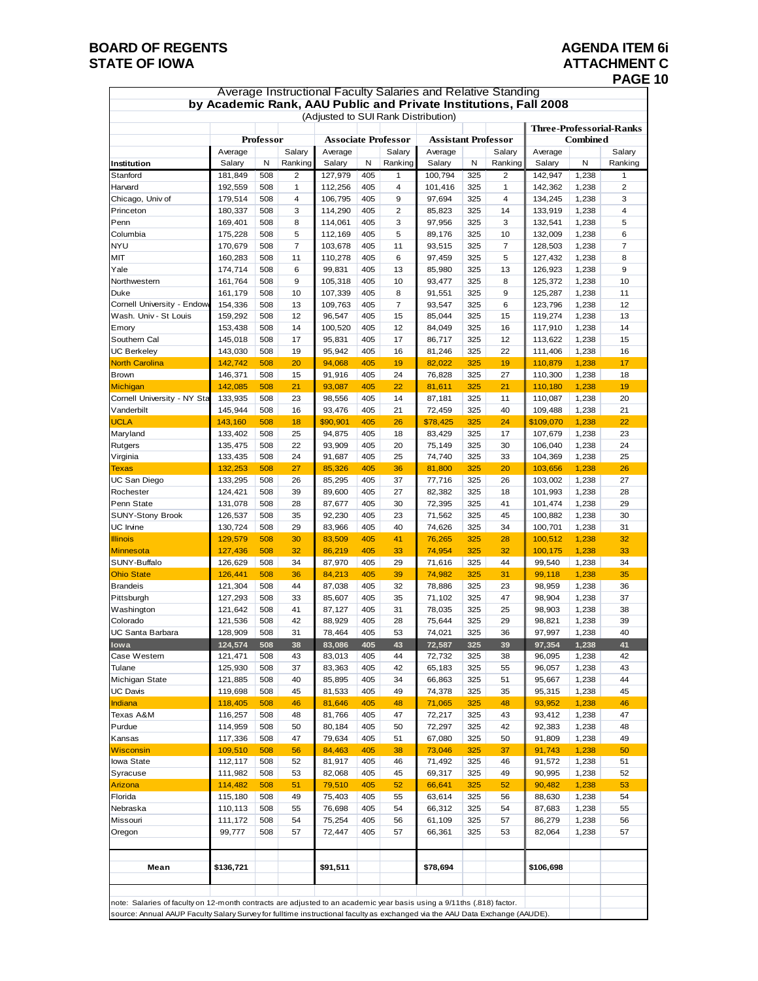# **BOARD OF REGENTS**<br> **BOARD OF REGENTS**<br> **BOARD OF IOWA**<br> **BOARD OF IOWA**<br> **ATTACHMENT C**

### **ATTACHMENT C PAGE 10**

| <b>Average Instructional Faculty Salaries and Relative Standing</b><br>by Academic Rank, AAU Public and Private Institutions, Fall 2008                                                                                                               |                    |            |                |                                     |            |          |                            |            |                |                    |                |                                 |
|-------------------------------------------------------------------------------------------------------------------------------------------------------------------------------------------------------------------------------------------------------|--------------------|------------|----------------|-------------------------------------|------------|----------|----------------------------|------------|----------------|--------------------|----------------|---------------------------------|
|                                                                                                                                                                                                                                                       |                    |            |                |                                     |            |          |                            |            |                |                    |                |                                 |
|                                                                                                                                                                                                                                                       |                    |            |                | (Adjusted to SUI Rank Distribution) |            |          |                            |            |                |                    |                | <b>Three-Professorial-Ranks</b> |
|                                                                                                                                                                                                                                                       |                    | Professor  |                | <b>Associate Professor</b>          |            |          | <b>Assistant Professor</b> |            |                | <b>Combined</b>    |                |                                 |
|                                                                                                                                                                                                                                                       | Average            |            | Salary         | Average                             |            | Salary   | Average                    |            | Salary         | Average            |                | Salary                          |
| Institution                                                                                                                                                                                                                                           | Salary             | N          | Ranking        | Salary                              | N          | Ranking  | Salary                     | N          | Ranking        | Salary             | N              | Ranking                         |
| Stanford                                                                                                                                                                                                                                              | 181,849            | 508        | 2              | 127,979                             | 405        | 1        | 100,794                    | 325        | 2              | 142,947            | 1,238          | 1                               |
| Harvard                                                                                                                                                                                                                                               | 192,559            | 508        | 1              | 112,256                             | 405        | 4        | 101,416                    | 325        | $\mathbf{1}$   | 142,362            | 1,238          | $\overline{2}$                  |
| Chicago, Univ of                                                                                                                                                                                                                                      | 179,514            | 508        | 4              | 106,795                             | 405        | 9        | 97,694                     | 325        | $\overline{4}$ | 134,245            | 1,238          | 3                               |
| Princeton                                                                                                                                                                                                                                             | 180,337            | 508        | 3              | 114,290                             | 405        | 2        | 85,823                     | 325        | 14             | 133,919            | 1,238          | $\overline{4}$                  |
| Penn<br>Columbia                                                                                                                                                                                                                                      | 169,401<br>175,228 | 508<br>508 | 8<br>5         | 114,061<br>112,169                  | 405<br>405 | 3<br>5   | 97,956<br>89,176           | 325<br>325 | 3<br>10        | 132,541<br>132,009 | 1,238<br>1,238 | 5<br>6                          |
| <b>NYU</b>                                                                                                                                                                                                                                            | 170,679            | 508        | $\overline{7}$ | 103,678                             | 405        | 11       | 93,515                     | 325        | $\overline{7}$ | 128,503            | 1,238          | $\overline{7}$                  |
| MIT                                                                                                                                                                                                                                                   | 160,283            | 508        | 11             | 110,278                             | 405        | 6        | 97,459                     | 325        | 5              | 127,432            | 1,238          | 8                               |
| Yale                                                                                                                                                                                                                                                  | 174,714            | 508        | 6              | 99,831                              | 405        | 13       | 85,980                     | 325        | 13             | 126,923            | 1,238          | 9                               |
| Northwestern                                                                                                                                                                                                                                          | 161,764            | 508        | 9              | 105,318                             | 405        | 10       | 93,477                     | 325        | 8              | 125,372            | 1,238          | 10                              |
| Duke                                                                                                                                                                                                                                                  | 161,179            | 508        | 10             | 107,339                             | 405        | 8        | 91,551                     | 325        | 9              | 125,287            | 1,238          | 11                              |
| Cornell University - Endow                                                                                                                                                                                                                            | 154,336            | 508        | 13             | 109,763                             | 405        | 7        | 93,547                     | 325        | 6              | 123,796            | 1,238          | 12                              |
| Wash. Univ - St Louis                                                                                                                                                                                                                                 | 159,292            | 508        | 12             | 96,547                              | 405        | 15       | 85,044                     | 325        | 15             | 119,274            | 1,238          | 13                              |
| Emory                                                                                                                                                                                                                                                 | 153,438            | 508        | 14             | 100,520                             | 405        | 12       | 84,049                     | 325        | 16             | 117,910            | 1,238          | 14                              |
| Southern Cal                                                                                                                                                                                                                                          | 145,018            | 508        | 17             | 95,831                              | 405        | 17       | 86,717                     | 325        | 12             | 113,622            | 1,238          | 15                              |
| <b>UC Berkeley</b>                                                                                                                                                                                                                                    | 143,030            | 508        | 19             | 95,942                              | 405        | 16       | 81,246                     | 325        | 22             | 111,406            | 1,238          | 16                              |
| <b>North Carolina</b><br><b>Brown</b>                                                                                                                                                                                                                 | 142,742<br>146,371 | 508<br>508 | 20<br>15       | 94,068<br>91,916                    | 405<br>405 | 19<br>24 | 82,022<br>76,828           | 325<br>325 | 19<br>27       | 110,879<br>110,300 | 1,238<br>1,238 | 17<br>18                        |
| Michigan                                                                                                                                                                                                                                              | 142,085            | 508        | 21             | 93,087                              | 405        | 22       | 81,611                     | 325        | 21             | 110,180            | 1,238          | 19                              |
| Cornell University - NY Sta                                                                                                                                                                                                                           | 133,935            | 508        | 23             | 98,556                              | 405        | 14       | 87,181                     | 325        | 11             | 110,087            | 1,238          | 20                              |
| Vanderbilt                                                                                                                                                                                                                                            | 145,944            | 508        | 16             | 93,476                              | 405        | 21       | 72,459                     | 325        | 40             | 109,488            | 1,238          | 21                              |
| <b>UCLA</b>                                                                                                                                                                                                                                           | 143,160            | 508        | 18             | \$90,901                            | 405        | 26       | \$78,425                   | 325        | 24             | \$109,070          | 1,238          | 22                              |
| Maryland                                                                                                                                                                                                                                              | 133,402            | 508        | 25             | 94,875                              | 405        | 18       | 83,429                     | 325        | 17             | 107,679            | 1,238          | 23                              |
| Rutgers                                                                                                                                                                                                                                               | 135,475            | 508        | 22             | 93,909                              | 405        | 20       | 75,149                     | 325        | 30             | 106,040            | 1,238          | 24                              |
| Virginia                                                                                                                                                                                                                                              | 133,435            | 508        | 24             | 91,687                              | 405        | 25       | 74,740                     | 325        | 33             | 104,369            | 1,238          | 25                              |
| Texas                                                                                                                                                                                                                                                 | 132,253            | 508        | 27             | 85,326                              | 405        | 36       | 81,800                     | 325        | 20             | 103,656            | 1,238          | 26                              |
| UC San Diego                                                                                                                                                                                                                                          | 133,295            | 508        | 26             | 85,295                              | 405        | 37       | 77,716                     | 325        | 26             | 103,002            | 1,238          | 27                              |
| Rochester                                                                                                                                                                                                                                             | 124,421            | 508        | 39             | 89,600                              | 405        | 27       | 82,382                     | 325        | 18             | 101,993            | 1,238          | 28                              |
| Penn State                                                                                                                                                                                                                                            | 131,078<br>126,537 | 508<br>508 | 28<br>35       | 87,677<br>92,230                    | 405<br>405 | 30<br>23 | 72,395<br>71,562           | 325<br>325 | 41<br>45       | 101,474            | 1,238<br>1,238 | 29<br>30                        |
| <b>SUNY-Stony Brook</b><br><b>UC</b> Irvine                                                                                                                                                                                                           | 130,724            | 508        | 29             | 83,966                              | 405        | 40       | 74,626                     | 325        | 34             | 100,882<br>100,701 | 1,238          | 31                              |
| <b>Illinois</b>                                                                                                                                                                                                                                       | 129,579            | 508        | 30             | 83,509                              | 405        | 41       | 76,265                     | 325        | 28             | 100,512            | 1,238          | 32                              |
| Minnesota                                                                                                                                                                                                                                             | 127,436            | 508        | 32             | 86,219                              | 405        | 33       | 74,954                     | 325        | 32             | 100,175            | 1,238          | 33                              |
| SUNY-Buffalo                                                                                                                                                                                                                                          | 126,629            | 508        | 34             | 87,970                              | 405        | 29       | 71,616                     | 325        | 44             | 99,540             | 1,238          | 34                              |
| <b>Ohio State</b>                                                                                                                                                                                                                                     | 126,441            | 508        | 36             | 84,213                              | 405        | 39       | 74,982                     | 325        | 31             | 99,118             | 1,238          | 35                              |
| <b>Brandeis</b>                                                                                                                                                                                                                                       | 121,304            | 508        | 44             | 87,038                              | 405        | 32       | 78,886                     | 325        | 23             | 98,959             | 1,238          | 36                              |
| Pittsburgh                                                                                                                                                                                                                                            | 127,293            | 508        | 33             | 85,607                              | 405        | 35       | 71,102                     | 325        | 47             | 98,904             | 1,238          | 37                              |
| Washington                                                                                                                                                                                                                                            | 121,642            | 508        | 41             | 87,127                              | 405        | 31       | 78,035                     | 325        | 25             | 98,903             | 1,238          | 38                              |
| Colorado                                                                                                                                                                                                                                              | 121,536            | 508        | 42             | 88,929                              | 405        | 28       | 75,644                     | 325        | 29             | 98,821             | 1,238          | 39                              |
| <b>UC Santa Barbara</b>                                                                                                                                                                                                                               | 128,909            | 508        | 31             | 78,464                              | 405        | 53       | 74,021                     | 325        | 36             | 97,997             | 1,238          | 40                              |
| lowa<br>Case Western                                                                                                                                                                                                                                  | 124,574<br>121,471 | 508<br>508 | 38<br>43       | 83,086                              | 405<br>405 | 43<br>44 | 72,587                     | 325<br>325 | 39<br>38       | 97,354<br>96,095   | 1,238          | 41<br>42                        |
| Tulane                                                                                                                                                                                                                                                | 125,930            | 508        | 37             | 83,013<br>83,363                    | 405        | 42       | 72,732<br>65,183           | 325        | 55             | 96,057             | 1,238<br>1,238 | 43                              |
| Michigan State                                                                                                                                                                                                                                        | 121,885            | 508        | 40             | 85,895                              | 405        | 34       | 66,863                     | 325        | 51             | 95,667             | 1,238          | 44                              |
| <b>UC Davis</b>                                                                                                                                                                                                                                       | 119,698            | 508        | 45             | 81,533                              | 405        | 49       | 74,378                     | 325        | 35             | 95,315             | 1,238          | 45                              |
| Indiana                                                                                                                                                                                                                                               | 118,405            | 508        | 46             | 81,646                              | 405        | 48       | 71,065                     | 325        | 48             | 93,952             | 1,238          | 46                              |
| Texas A&M                                                                                                                                                                                                                                             | 116,257            | 508        | 48             | 81,766                              | 405        | 47       | 72,217                     | 325        | 43             | 93,412             | 1,238          | 47                              |
| Purdue                                                                                                                                                                                                                                                | 114,959            | 508        | 50             | 80,184                              | 405        | 50       | 72,297                     | 325        | 42             | 92,383             | 1,238          | 48                              |
| Kansas                                                                                                                                                                                                                                                | 117,336            | 508        | 47             | 79,634                              | 405        | 51       | 67,080                     | 325        | 50             | 91,809             | 1,238          | 49                              |
| <b>Wisconsin</b>                                                                                                                                                                                                                                      | 109,510            | 508        | 56             | 84,463                              | 405        | 38       | 73,046                     | 325        | 37             | 91,743             | 1,238          | 50                              |
| Iowa State                                                                                                                                                                                                                                            | 112,117            | 508        | 52             | 81,917                              | 405        | 46       | 71,492                     | 325        | 46             | 91,572             | 1,238          | 51                              |
| Syracuse                                                                                                                                                                                                                                              | 111,982            | 508        | 53             | 82,068                              | 405        | 45       | 69,317                     | 325        | 49             | 90,995             | 1,238          | 52                              |
| Arizona                                                                                                                                                                                                                                               | 114,482            | 508        | 51             | 79,510                              | 405        | 52       | 66,641                     | 325        | 52             | 90,482             | 1,238          | 53                              |
| Florida<br>Nebraska                                                                                                                                                                                                                                   | 115,180<br>110,113 | 508<br>508 | 49<br>55       | 75,403<br>76,698                    | 405<br>405 | 55<br>54 | 63,614<br>66,312           | 325<br>325 | 56<br>54       | 88,630<br>87,683   | 1,238<br>1,238 | 54<br>55                        |
| Missouri                                                                                                                                                                                                                                              | 111,172            | 508        | 54             | 75,254                              | 405        | 56       | 61,109                     | 325        | 57             | 86,279             | 1,238          | 56                              |
| Oregon                                                                                                                                                                                                                                                | 99,777             | 508        | 57             | 72,447                              | 405        | 57       | 66,361                     | 325        | 53             | 82,064             | 1,238          | 57                              |
|                                                                                                                                                                                                                                                       |                    |            |                |                                     |            |          |                            |            |                |                    |                |                                 |
| Mean                                                                                                                                                                                                                                                  | \$136,721          |            |                | \$91,511                            |            |          | \$78,694                   |            |                | \$106,698          |                |                                 |
|                                                                                                                                                                                                                                                       |                    |            |                |                                     |            |          |                            |            |                |                    |                |                                 |
| note: Salaries of faculty on 12-month contracts are adjusted to an academic year basis using a 9/11ths (.818) factor.<br>source: Annual AAUP Faculty Salary Survey for fulltime instructional faculty as exchanged via the AAU Data Exchange (AAUDE). |                    |            |                |                                     |            |          |                            |            |                |                    |                |                                 |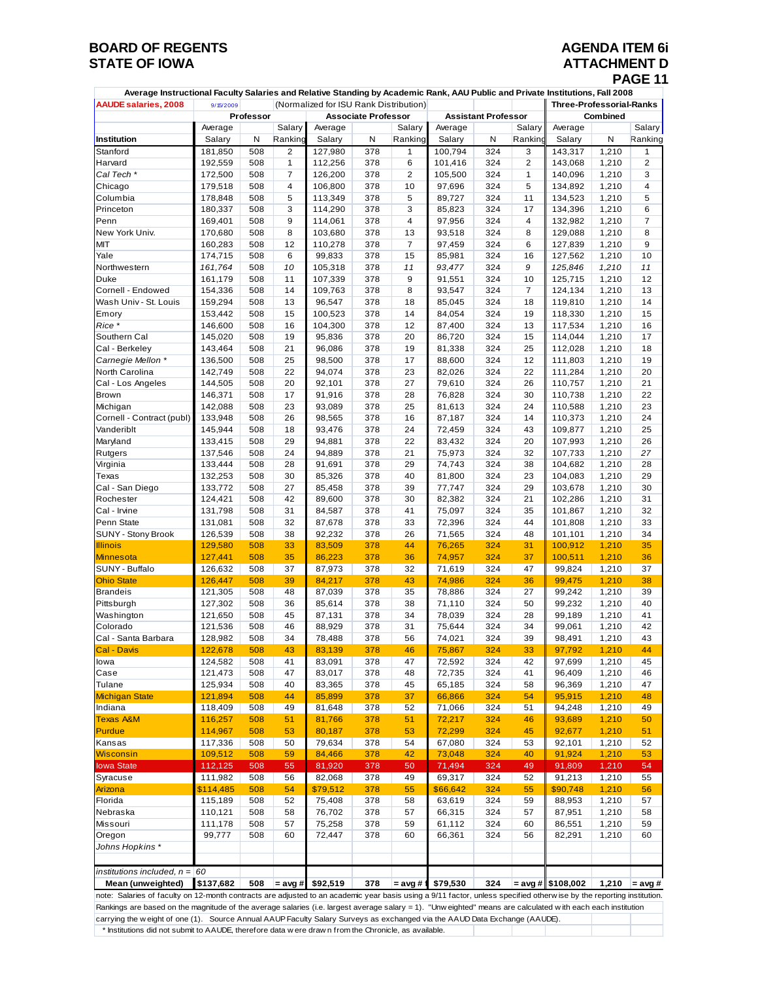## **BOARD OF REGENTS**<br> **BOARD OF REGENTS**<br> **BOARD OF IOWA**<br> **ATTACHMENT D**

# **STATACHMENT D<br>PAGE 11**

| Average Instructional Faculty Salaries and Relative Standing by Academic Rank, AAU Public and Private Institutions, Fall 2008 |                                                     |           |                |          |                            |                |          |                            |                |                                 |       |                |  |
|-------------------------------------------------------------------------------------------------------------------------------|-----------------------------------------------------|-----------|----------------|----------|----------------------------|----------------|----------|----------------------------|----------------|---------------------------------|-------|----------------|--|
| <b>AAUDE salaries, 2008</b>                                                                                                   | (Normalized for ISU Rank Distribution)<br>9/15/2009 |           |                |          |                            |                |          |                            |                | <b>Three-Professorial-Ranks</b> |       |                |  |
|                                                                                                                               |                                                     | Professor |                |          | <b>Associate Professor</b> |                |          | <b>Assistant Professor</b> |                | Combined                        |       |                |  |
|                                                                                                                               | Average                                             |           | Salary         | Average  |                            | Salary         | Average  |                            | Salary         | Average                         |       | Salary         |  |
| Institution                                                                                                                   | Salary                                              | N         | Ranking        | Salary   | N                          | Ranking        | Salary   | N                          | Ranking        | Salary                          | N     | Ranking        |  |
| Stanford                                                                                                                      | 181,850                                             | 508       | 2              | 127,980  | 378                        | $\mathbf{1}$   | 100,794  | 324                        | 3              | 143,317                         | 1,210 | 1              |  |
| Harvard                                                                                                                       | 192,559                                             | 508       | $\mathbf{1}$   | 112,256  | 378                        | 6              | 101,416  | 324                        | $\overline{c}$ | 143,068                         | 1,210 | $\overline{2}$ |  |
| Cal Tech *                                                                                                                    | 172,500                                             | 508       | $\overline{7}$ | 126,200  | 378                        | 2              | 105,500  | 324                        | $\mathbf{1}$   | 140,096                         | 1,210 | 3              |  |
| Chicago                                                                                                                       | 179,518                                             | 508       | $\overline{4}$ | 106,800  | 378                        | 10             | 97,696   | 324                        | 5              | 134,892                         | 1,210 | 4              |  |
| Columbia                                                                                                                      | 178,848                                             | 508       | 5              | 113,349  | 378                        | 5              | 89,727   | 324                        | 11             | 134,523                         | 1,210 | 5              |  |
| Princeton                                                                                                                     | 180,337                                             | 508       | 3              | 114,290  | 378                        | 3              | 85,823   | 324                        | 17             | 134,396                         | 1,210 | 6              |  |
| Penn                                                                                                                          | 169,401                                             | 508       | 9              | 114,061  | 378                        | $\overline{4}$ | 97,956   | 324                        | 4              | 132,982                         | 1,210 | 7              |  |
| New York Univ.                                                                                                                | 170,680                                             | 508       | 8              | 103,680  | 378                        | 13             | 93,518   | 324                        | 8              | 129,088                         | 1,210 | 8              |  |
| MIT                                                                                                                           | 160,283                                             | 508       | 12             | 110,278  | 378                        | $\overline{7}$ | 97,459   | 324                        | 6              | 127,839                         | 1,210 | 9              |  |
| Yale                                                                                                                          | 174,715                                             | 508       | 6              | 99,833   | 378                        | 15             | 85,981   | 324                        | 16             | 127,562                         | 1,210 | 10             |  |
| Northwestern                                                                                                                  | 161,764                                             | 508       | 10             | 105,318  | 378                        | 11             | 93,477   | 324                        | 9              | 125,846                         | 1,210 | 11             |  |
| Duke                                                                                                                          | 161,179                                             | 508       | 11             | 107,339  | 378                        | 9              | 91,551   | 324                        | 10             | 125,715                         | 1,210 | 12             |  |
| Cornell - Endowed                                                                                                             | 154,336                                             | 508       | 14             | 109,763  | 378                        | 8              | 93,547   | 324                        | $\overline{7}$ | 124,134                         | 1,210 | 13             |  |
| Wash Univ - St. Louis                                                                                                         | 159,294                                             | 508       | 13             | 96,547   | 378                        | 18             | 85,045   | 324                        | 18             | 119,810                         | 1,210 | 14             |  |
| Emory                                                                                                                         | 153,442                                             | 508       | 15             | 100,523  | 378                        | 14             | 84,054   | 324                        | 19             | 118,330                         | 1,210 | 15             |  |
| Rice *                                                                                                                        | 146,600                                             | 508       | 16             | 104,300  | 378                        | 12             | 87,400   | 324                        | 13             | 117,534                         | 1,210 | 16             |  |
| Southern Cal                                                                                                                  | 145,020                                             | 508       | 19             | 95,836   | 378                        | 20             | 86,720   | 324                        | 15             | 114,044                         | 1,210 | 17             |  |
| Cal - Berkeley                                                                                                                | 143,464                                             | 508       | 21             | 96,086   | 378                        | 19             | 81,338   | 324                        | 25             | 112,028                         | 1,210 | 18             |  |
| Carnegie Mellon *                                                                                                             | 136,500                                             | 508       | 25             | 98,500   | 378                        | 17             | 88,600   | 324                        | 12             | 111,803                         | 1,210 | 19             |  |
| North Carolina                                                                                                                | 142,749                                             | 508       | 22             | 94,074   | 378                        | 23             | 82,026   | 324                        | 22             | 111,284                         | 1,210 | 20             |  |
|                                                                                                                               |                                                     |           |                |          |                            |                |          |                            |                |                                 |       |                |  |
| Cal - Los Angeles                                                                                                             | 144,505                                             | 508       | 20             | 92,101   | 378                        | 27             | 79,610   | 324                        | 26             | 110,757                         | 1,210 | 21             |  |
| <b>Brown</b>                                                                                                                  | 146,371                                             | 508       | 17             | 91,916   | 378                        | 28             | 76,828   | 324                        | 30             | 110,738                         | 1,210 | 22             |  |
| Michigan                                                                                                                      | 142,088                                             | 508       | 23             | 93,089   | 378                        | 25             | 81,613   | 324                        | 24             | 110,588                         | 1,210 | 23             |  |
| Cornell - Contract (publ)                                                                                                     | 133,948                                             | 508       | 26             | 98,565   | 378                        | 16             | 87,187   | 324                        | 14             | 110,373                         | 1,210 | 24             |  |
| Vanderiblt                                                                                                                    | 145,944                                             | 508       | 18             | 93,476   | 378                        | 24             | 72,459   | 324                        | 43             | 109,877                         | 1,210 | 25             |  |
| Maryland                                                                                                                      | 133,415                                             | 508       | 29             | 94,881   | 378                        | 22             | 83,432   | 324                        | 20             | 107,993                         | 1,210 | 26             |  |
| Rutgers                                                                                                                       | 137,546                                             | 508       | 24             | 94,889   | 378                        | 21             | 75,973   | 324                        | 32             | 107,733                         | 1,210 | 27             |  |
| Virginia                                                                                                                      | 133,444                                             | 508       | 28             | 91,691   | 378                        | 29             | 74,743   | 324                        | 38             | 104,682                         | 1,210 | 28             |  |
| Texas                                                                                                                         | 132,253                                             | 508       | 30             | 85,326   | 378                        | 40             | 81,800   | 324                        | 23             | 104,083                         | 1,210 | 29             |  |
| Cal - San Diego                                                                                                               | 133,772                                             | 508       | 27             | 85,458   | 378                        | 39             | 77,747   | 324                        | 29             | 103,678                         | 1,210 | 30             |  |
| Rochester                                                                                                                     | 124,421                                             | 508       | 42             | 89,600   | 378                        | 30             | 82,382   | 324                        | 21             | 102,286                         | 1,210 | 31             |  |
| Cal - Irvine                                                                                                                  | 131,798                                             | 508       | 31             | 84,587   | 378                        | 41             | 75,097   | 324                        | 35             | 101,867                         | 1,210 | 32             |  |
| Penn State                                                                                                                    | 131,081                                             | 508       | 32             | 87,678   | 378                        | 33             | 72,396   | 324                        | 44             | 101,808                         | 1,210 | 33             |  |
| SUNY - Stony Brook                                                                                                            | 126,539                                             | 508       | 38             | 92,232   | 378                        | 26             | 71,565   | 324                        | 48             | 101,101                         | 1,210 | 34             |  |
| <b>Illinois</b>                                                                                                               | 129,580                                             | 508       | 33             | 83,509   | 378                        | 44             | 76,265   | 324                        | 31             | 100,912                         | 1,210 | 35             |  |
| <b>Minnesota</b>                                                                                                              | 127,441                                             | 508       | 35             | 86,223   | 378                        | 36             | 74,957   | 324                        | 37             | 100,511                         | 1,210 | 36             |  |
| SUNY - Buffalo                                                                                                                | 126,632                                             | 508       | 37             | 87,973   | 378                        | 32             | 71,619   | 324                        | 47             | 99,824                          | 1,210 | 37             |  |
| <b>Ohio State</b>                                                                                                             | 126,447                                             | 508       | 39             | 84,217   | 378                        | 43             | 74,986   | 324                        | 36             | 99,475                          | 1,210 | 38             |  |
| <b>Brandeis</b>                                                                                                               | 121,305                                             | 508       | 48             | 87,039   | 378                        | 35             | 78,886   | 324                        | 27             | 99,242                          | 1,210 | 39             |  |
| Pittsburgh                                                                                                                    | 127,302                                             | 508       | 36             | 85,614   | 378                        | 38             | 71,110   | 324                        | 50             | 99,232                          | 1,210 | 40             |  |
| Washington                                                                                                                    | 121,650                                             | 508       | 45             | 87,131   | 378                        | 34             | 78,039   | 324                        | 28             | 99,189                          | 1,210 | 41             |  |
| Colorado                                                                                                                      | 121,536                                             | 508       | 46             | 88,929   | 378                        | 31             | 75,644   | 324                        | 34             | 99,061                          | 1,210 | 42             |  |
| Cal - Santa Barbara                                                                                                           | 128,982                                             | 508       | 34             | 78,488   | 378                        | 56             | 74,021   | 324                        | 39             | 98,491                          | 1,210 | 43             |  |
| Cal - Davis                                                                                                                   | 122,678                                             | 508       | 43             | 83,139   | 378                        | 46             | 75,867   | 324                        | 33             | 97,792                          | 1,210 | 44             |  |
| lowa                                                                                                                          | 124,582                                             | 508       | 41             | 83,091   | 378                        | 47             | 72,592   | 324                        | 42             | 97,699                          | 1,210 | 45             |  |
| Case                                                                                                                          | 121,473                                             | 508       | 47             | 83,017   | 378                        | 48             | 72,735   | 324                        | 41             | 96,409                          | 1,210 | 46             |  |
| Tulane                                                                                                                        | 125,934                                             | 508       | 40             | 83,365   | 378                        | 45             | 65,185   | 324                        | 58             | 96,369                          | 1,210 | 47             |  |
| <b>Michigan State</b>                                                                                                         | 121,894                                             | 508       | 44             | 85,899   | 378                        | 37             | 66,866   | 324                        | 54             | 95,915                          | 1,210 | 48             |  |
| Indiana                                                                                                                       | 118,409                                             | 508       | 49             | 81,648   | 378                        | 52             | 71,066   | 324                        | 51             | 94,248                          | 1,210 | 49             |  |
| <b>Texas A&amp;M</b>                                                                                                          | 116,257                                             | 508       | 51             | 81,766   | 378                        | 51             | 72,217   | 324                        | 46             | 93,689                          | 1,210 | 50             |  |
| <b>Purdue</b>                                                                                                                 | 114,967                                             | 508       | 53             | 80,187   | 378                        | 53             | 72,299   | 324                        | 45             | 92,677                          | 1,210 | 51             |  |
| Kansas                                                                                                                        |                                                     |           | 50             |          |                            | 54             |          |                            |                |                                 |       |                |  |
|                                                                                                                               | 117,336                                             | 508       |                | 79,634   | 378                        |                | 67,080   | 324                        | 53             | 92,101                          | 1,210 | 52             |  |
| <b>Wisconsin</b>                                                                                                              | 109,512                                             | 508       | 59<br>55       | 84,466   | 378                        | 42<br>50       | 73,048   | 324                        | 40<br>49       | 91,924                          | 1,210 | 53<br>54       |  |
| <b>lowa State</b>                                                                                                             | 112,125                                             | 508       |                | 81,920   | 378                        |                | 71,494   | 324                        |                | 91,809                          | 1,210 |                |  |
| Syracuse                                                                                                                      | 111,982                                             | 508       | 56             | 82,068   | 378                        | 49             | 69,317   | 324                        | 52             | 91,213                          | 1,210 | 55             |  |
| Arizona                                                                                                                       | \$114,485                                           | 508       | 54             | \$79,512 | 378                        | 55             | \$66,642 | 324                        | 55             | \$90,748                        | 1,210 | 56             |  |
| Florida                                                                                                                       | 115,189                                             | 508       | 52             | 75,408   | 378                        | 58             | 63,619   | 324                        | 59             | 88,953                          | 1,210 | 57             |  |
| Nebraska                                                                                                                      | 110,121                                             | 508       | 58             | 76,702   | 378                        | 57             | 66,315   | 324                        | 57             | 87,951                          | 1,210 | 58             |  |
| Missouri                                                                                                                      | 111,178                                             | 508       | 57             | 75,258   | 378                        | 59             | 61,112   | 324                        | 60             | 86,551                          | 1,210 | 59             |  |
| Oregon                                                                                                                        | 99,777                                              | 508       | 60             | 72,447   | 378                        | 60             | 66,361   | 324                        | 56             | 82,291                          | 1,210 | 60             |  |
| Johns Hopkins*                                                                                                                |                                                     |           |                |          |                            |                |          |                            |                |                                 |       |                |  |
|                                                                                                                               |                                                     |           |                |          |                            |                |          |                            |                |                                 |       |                |  |
| institutions included, $n = 60$                                                                                               |                                                     |           |                |          |                            |                |          |                            |                |                                 |       |                |  |
|                                                                                                                               |                                                     |           | $=$ avg #      | \$92,519 | 378                        | = avg # 1      | \$79,530 | 324                        |                | $= avg # $108,002$              | 1,210 | $=$ avg #      |  |

note: Salaries of faculty on 12-month contracts are adjusted to an academic year basis using a 9/11 factor, unless specified otherw ise by the reporting institution. Rankings are based on the magnitude of the average salaries (i.e. largest average salary = 1). "Unw eighted" means are calculated w ith each each institution carrying the w eight of one (1). Source Annual AAUP Faculty Salary Surveys as exchanged via the AAUD Data Exchange (AAUDE). \* Institutions did not submit to AAUDE, therefore data w ere draw n from the Chronicle, as available.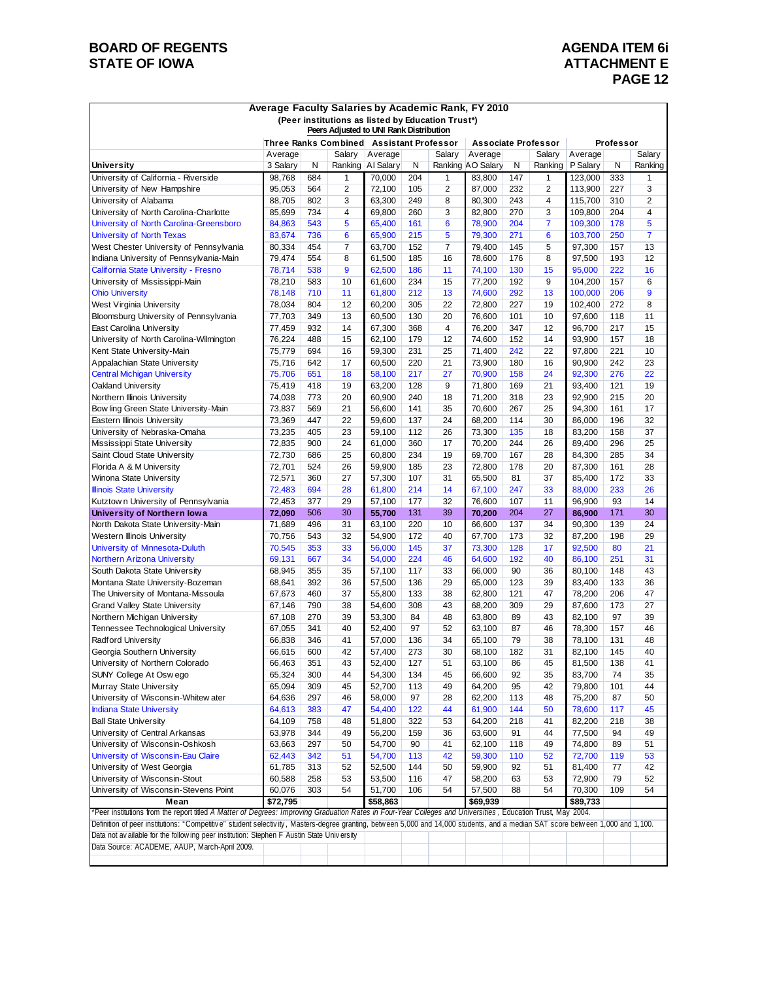## **BOARD OF REGENTS**<br> **BOARD OF REGENTS**<br> **BOARD OF IOWA**<br> **BOARD OF IOWA**<br> **ATTACHMENT E**

## **ATTACHMENT E PAGE 12**

| Average Faculty Salaries by Academic Rank, FY 2010<br>(Peer institutions as listed by Education Trust*)<br>Peers Adjusted to UNI Rank Distribution                              |                  |            |                |                                          |            |          |                            |            |          |                  |            |          |
|---------------------------------------------------------------------------------------------------------------------------------------------------------------------------------|------------------|------------|----------------|------------------------------------------|------------|----------|----------------------------|------------|----------|------------------|------------|----------|
|                                                                                                                                                                                 |                  |            |                | Three Ranks Combined Assistant Professor |            |          | <b>Associate Professor</b> |            |          |                  | Professor  |          |
|                                                                                                                                                                                 | Average          |            | Salary         | Average                                  |            | Salary   | Average                    |            | Salary   | Average          |            | Salary   |
| University                                                                                                                                                                      | 3 Salary         | N          |                | Ranking AI Salary                        | N          |          | Ranking AO Salary          | N          | Ranking  | P Salary         | N          | Ranking  |
| University of California - Riverside                                                                                                                                            | 98,768           | 684        | 1              | 70,000                                   | 204        | 1        | 83,800                     | 147        | 1        | 123,000          | 333        | 1        |
| University of New Hampshire                                                                                                                                                     | 95,053           | 564        | $\overline{2}$ | 72,100                                   | 105        | 2        | 87,000                     | 232        | 2        | 113,900          | 227        | 3        |
| University of Alabama                                                                                                                                                           | 88,705           | 802        | 3              | 63,300                                   | 249        | 8        | 80,300                     | 243        | 4        | 115,700          | 310        | 2        |
| University of North Carolina-Charlotte                                                                                                                                          | 85,699           | 734        | 4              | 69,800                                   | 260        | 3        | 82,800                     | 270        | 3        | 109,800          | 204        | 4        |
| University of North Carolina-Greensboro                                                                                                                                         | 84,863           | 543        | 5              | 65,400                                   | 161        | 6        | 78,900                     | 204        | 7        | 109,300          | 178        | 5        |
| <b>University of North Texas</b>                                                                                                                                                | 83,674           | 736        | 6              | 65,900                                   | 215        | 5        | 79,300                     | 271        | 6        | 103,700          | 250        | 7        |
| West Chester University of Pennsylvania                                                                                                                                         | 80,334           | 454        | 7              | 63,700                                   | 152        | 7        | 79,400                     | 145        | 5        | 97,300           | 157        | 13       |
| Indiana University of Pennsylvania-Main                                                                                                                                         | 79,474           | 554        | 8              | 61,500                                   | 185        | 16       | 78,600                     | 176        | 8        | 97,500           | 193        | 12       |
| California State University - Fresno                                                                                                                                            | 78,714           | 538        | 9              | 62,500                                   | 186        | 11       | 74,100                     | 130        | 15       | 95,000           | 222        | 16       |
| University of Mississippi-Main                                                                                                                                                  | 78,210           | 583        | 10             | 61,600                                   | 234        | 15       | 77,200                     | 192        | 9        | 104,200          | 157        | 6        |
| <b>Ohio University</b>                                                                                                                                                          | 78,148           | 710        | 11             | 61,800                                   | 212        | 13       | 74,600                     | 292        | 13       | 100,000          | 206        | 9        |
| West Virginia University                                                                                                                                                        | 78,034           | 804        | 12             | 60,200                                   | 305        | 22       | 72,800                     | 227        | 19       | 102,400          | 272        | 8        |
| Bloomsburg University of Pennsylvania                                                                                                                                           | 77,703           | 349        | 13             | 60,500                                   | 130        | 20       | 76,600                     | 101        | 10       | 97,600           | 118        | 11       |
| East Carolina University                                                                                                                                                        | 77,459           | 932        | 14             | 67,300                                   | 368        | 4        | 76,200                     | 347        | 12       | 96,700           | 217        | 15       |
| University of North Carolina-Wilmington                                                                                                                                         | 76,224           | 488        | 15             | 62,100                                   | 179        | 12       | 74,600                     | 152        | 14       | 93,900           | 157        | 18       |
| Kent State University-Main                                                                                                                                                      | 75,779           | 694        | 16             | 59,300                                   | 231        | 25       | 71,400                     | 242        | 22       | 97,800           | 221        | 10       |
| Appalachian State University                                                                                                                                                    | 75,716           | 642        | 17             | 60,500                                   | 220        | 21<br>27 | 73,900                     | 180        | 16<br>24 | 90,900           | 242        | 23       |
| <b>Central Michigan University</b>                                                                                                                                              | 75,706           | 651        | 18             | 58,100                                   | 217        | 9        | 70,900                     | 158        |          | 92,300           | 276        | 22       |
| Oakland University                                                                                                                                                              | 75,419           | 418        | 19             | 63,200                                   | 128        |          | 71,800                     | 169        | 21       | 93,400<br>92.900 | 121        | 19       |
| Northern Illinois University                                                                                                                                                    | 74,038           | 773        | 20             | 60,900<br>56,600                         | 240        | 18       | 71,200                     | 318        | 23       | 94,300           | 215        | 20       |
| Bow ling Green State University-Main                                                                                                                                            | 73,837           | 569<br>447 | 21<br>22       | 59.600                                   | 141        | 35<br>24 | 70,600                     | 267<br>114 | 25<br>30 |                  | 161        | 17<br>32 |
| Eastern Illinois University                                                                                                                                                     | 73,369<br>73,235 | 405        | 23             | 59,100                                   | 137<br>112 | 26       | 68,200<br>73,300           | 135        | 18       | 86,000<br>83,200 | 196<br>158 | 37       |
| University of Nebraska-Omaha<br>Mississippi State University                                                                                                                    | 72,835           | 900        | 24             | 61,000                                   | 360        | 17       | 70,200                     | 244        | 26       | 89,400           | 296        | 25       |
| Saint Cloud State University                                                                                                                                                    | 72,730           | 686        | 25             | 60,800                                   | 234        | 19       | 69,700                     | 167        | 28       | 84,300           | 285        | 34       |
| Florida A & M University                                                                                                                                                        | 72,701           | 524        | 26             | 59,900                                   | 185        | 23       | 72,800                     | 178        | 20       | 87,300           | 161        | 28       |
| Winona State University                                                                                                                                                         | 72,571           | 360        | 27             | 57,300                                   | 107        | 31       | 65,500                     | 81         | 37       | 85,400           | 172        | 33       |
| <b>Illinois State University</b>                                                                                                                                                | 72,483           | 694        | 28             | 61,800                                   | 214        | 14       | 67,100                     | 247        | 33       | 88,000           | 233        | 26       |
| Kutztown University of Pennsylvania                                                                                                                                             | 72,453           | 377        | 29             | 57,100                                   | 177        | 32       | 76,600                     | 107        | 11       | 96,900           | 93         | 14       |
| University of Northern low a                                                                                                                                                    | 72,090           | 506        | 30             | 55,700                                   | 131        | 39       | 70,200                     | 204        | 27       | 86,900           | 171        | 30       |
| North Dakota State University-Main                                                                                                                                              | 71,689           | 496        | 31             | 63,100                                   | 220        | 10       | 66,600                     | 137        | 34       | 90,300           | 139        | 24       |
| Western Illinois University                                                                                                                                                     | 70,756           | 543        | 32             | 54,900                                   | 172        | 40       | 67,700                     | 173        | 32       | 87,200           | 198        | 29       |
| University of Minnesota-Duluth                                                                                                                                                  | 70,545           | 353        | 33             | 56,000                                   | 145        | 37       | 73,300                     | 128        | 17       | 92,500           | 80         | 21       |
| <b>Northern Arizona University</b>                                                                                                                                              | 69,131           | 667        | 34             | 54,000                                   | 224        | 46       | 64,600                     | 192        | 40       | 86,100           | 251        | 31       |
| South Dakota State University                                                                                                                                                   | 68,945           | 355        | 35             | 57,100                                   | 117        | 33       | 66,000                     | 90         | 36       | 80,100           | 148        | 43       |
| Montana State University-Bozeman                                                                                                                                                | 68,641           | 392        | 36             | 57,500                                   | 136        | 29       | 65,000                     | 123        | 39       | 83.400           | 133        | 36       |
| The University of Montana-Missoula                                                                                                                                              | 67,673           | 460        | 37             | 55,800                                   | 133        | 38       | 62,800                     | 121        | 47       | 78,200           | 206        | 47       |
| <b>Grand Valley State University</b>                                                                                                                                            | 67,146           | 790        | 38             | 54,600                                   | 308        | 43       | 68,200                     | 309        | 29       | 87,600           | 173        | 27       |
| Northern Michigan University                                                                                                                                                    | 67,108           | 270        | 39             | 53,300                                   | 84         | 48       | 63,800                     | 89         | 43       | 82,100           | 97         | 39       |
| Tennessee Technological University                                                                                                                                              | 67,055           | 341        | 40             | 52,400                                   | 97         | 52       | 63,100                     | 87         | 46       | 78,300           | 157        | 46       |
| Radford University                                                                                                                                                              | 66,838           | 346        | 41             | 57,000                                   | 136        | 34       | 65,100                     | 79         | 38       | 78,100           | 131        | 48       |
| Georgia Southern University                                                                                                                                                     | 66,615           | 600        | 42             | 57,400                                   | 273        | 30       | 68,100                     | 182        | 31       | 82,100           | 145        | 40       |
| University of Northern Colorado                                                                                                                                                 | 66,463           | 351        | 43             | 52,400                                   | 127        | 51       | 63,100                     | 86         | 45       | 81,500           | 138        | 41       |
| SUNY College At Oswego                                                                                                                                                          | 65,324           | 300        | 44             | 54,300                                   | 134        | 45       | 66,600                     | 92         | 35       | 83,700           | 74         | 35       |
| Murray State University                                                                                                                                                         | 65,094           | 309        | 45             | 52,700                                   | 113        | 49       | 64,200                     | 95         | 42       | 79,800           | 101        | 44       |
| University of Wisconsin-Whitew ater                                                                                                                                             | 64,636           | 297        | 46             | 58,000                                   | 97         | 28       | 62,200                     | 113        | 48       | 75,200           | 87         | 50       |
| <b>Indiana State University</b>                                                                                                                                                 | 64,613           | 383        | 47             | 54,400                                   | 122        | 44       | 61,900                     | 144        | 50       | 78,600           | 117        | 45       |
| <b>Ball State University</b>                                                                                                                                                    | 64,109           | 758        | 48             | 51,800                                   | 322        | 53       | 64,200                     | 218        | 41       | 82,200           | 218        | 38       |
| University of Central Arkansas                                                                                                                                                  | 63,978           | 344        | 49             | 56,200                                   | 159        | 36       | 63,600                     | 91         | 44       | 77,500           | 94         | 49       |
| University of Wisconsin-Oshkosh                                                                                                                                                 | 63,663           | 297        | 50             | 54,700                                   | 90         | 41       | 62,100                     | 118        | 49       | 74,800           | 89         | 51       |
| University of Wisconsin-Eau Claire                                                                                                                                              | 62,443           | 342        | 51             | 54,700                                   | 113        | 42       | 59,300                     | 110        | 52       | 72,700           | 119        | 53       |
| University of West Georgia                                                                                                                                                      | 61,785           | 313        | 52             | 52,500                                   | 144        | 50       | 59,900                     | 92         | 51       | 81,400           | 77         | 42       |
| University of Wisconsin-Stout                                                                                                                                                   | 60,588           | 258        | 53             | 53,500                                   | 116        | 47       | 58,200                     | 63         | 53       | 72.900           | 79         | 52       |
| University of Wisconsin-Stevens Point                                                                                                                                           | 60,076           | 303        | 54             | 51,700                                   | 106        | 54       | 57,500                     | 88         | 54       | 70,300           | 109        | 54       |
| Mean                                                                                                                                                                            | \$72,795         |            |                | \$58,863                                 |            |          | \$69,939                   |            |          | \$89,733         |            |          |
| *Peer institutions from the report titled A Matter of Degrees: Improving Graduation Rates in Four-Year Colleges and Universities, Education Trust, May 2004.                    |                  |            |                |                                          |            |          |                            |            |          |                  |            |          |
| Definition of peer institutions: "Competitive" student selectivity, Masters-degree granting, between 5,000 and 14,000 students, and a median SAT score between 1,000 and 1,100. |                  |            |                |                                          |            |          |                            |            |          |                  |            |          |
| Data not av ailable for the following peer institution: Stephen F Austin State University                                                                                       |                  |            |                |                                          |            |          |                            |            |          |                  |            |          |
| Data Source: ACADEME, AAUP, March-April 2009.                                                                                                                                   |                  |            |                |                                          |            |          |                            |            |          |                  |            |          |
|                                                                                                                                                                                 |                  |            |                |                                          |            |          |                            |            |          |                  |            |          |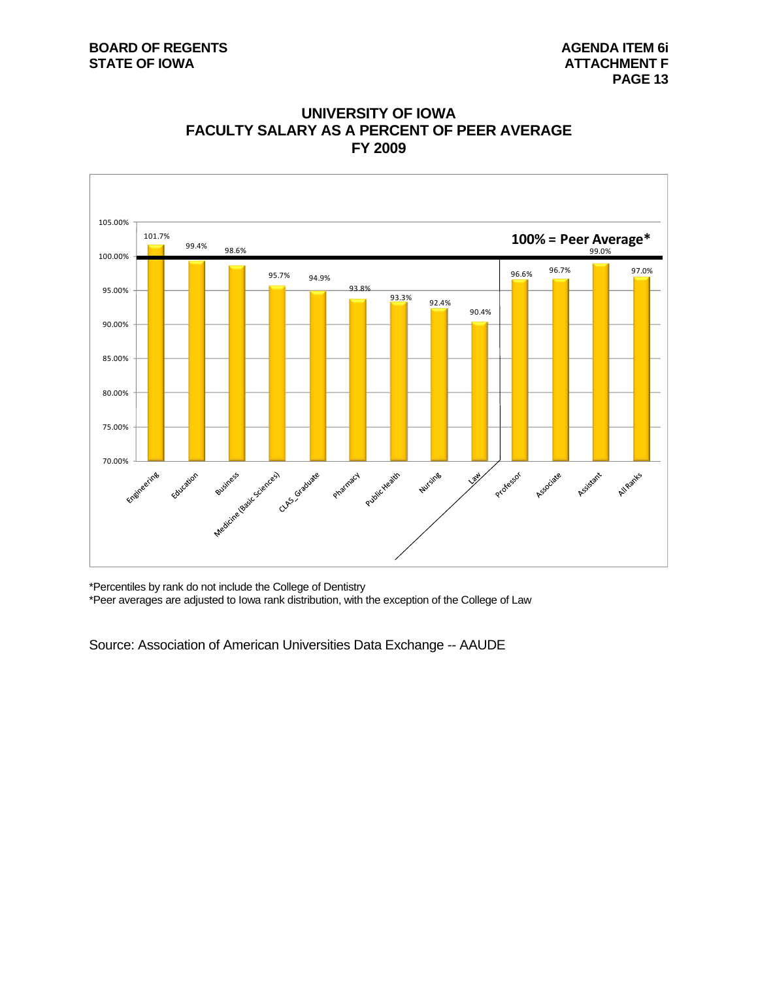#### **BOARD OF REGENTS AGENTS AGENERAL ITEM 6i STATE OF IOWA** AND **ATTACHMENT F**





\*Percentiles by rank do not include the College of Dentistry

\*Peer averages are adjusted to Iowa rank distribution, with the exception of the College of Law

Source: Association of American Universities Data Exchange -- AAUDE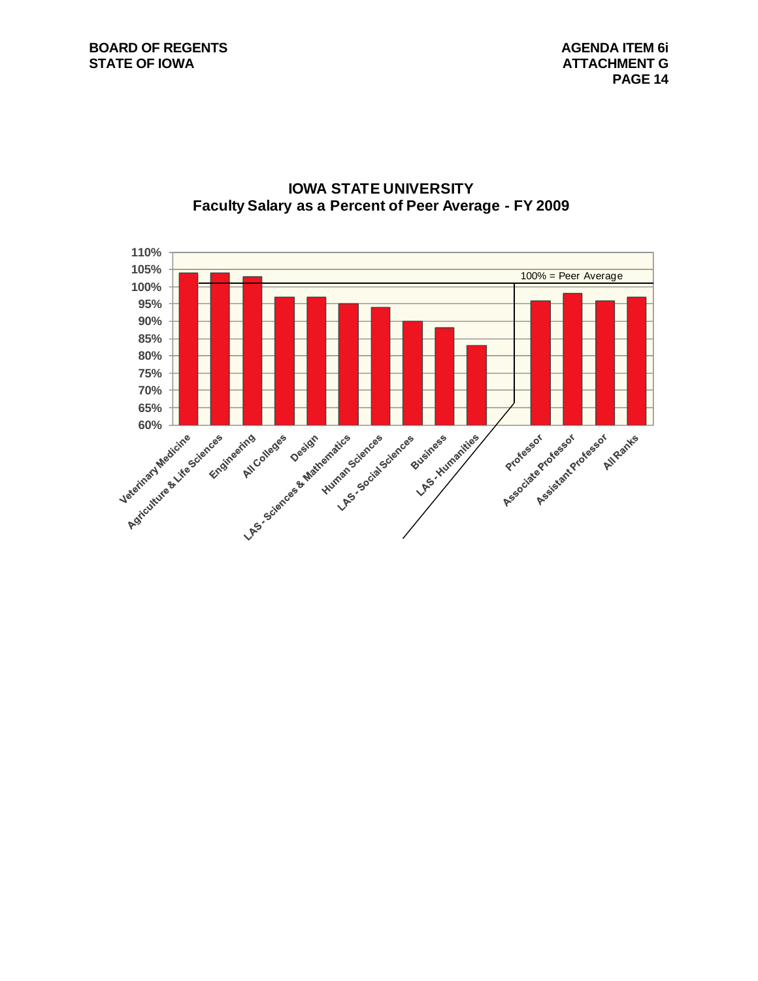#### **BOARD OF REGENTS AGENDA ITEM 6i STATE OF IOWA ATTACHMENT G**



#### **IOWA STATE UNIVERSITY Faculty Salary as a Percent of Peer Average - FY 2009**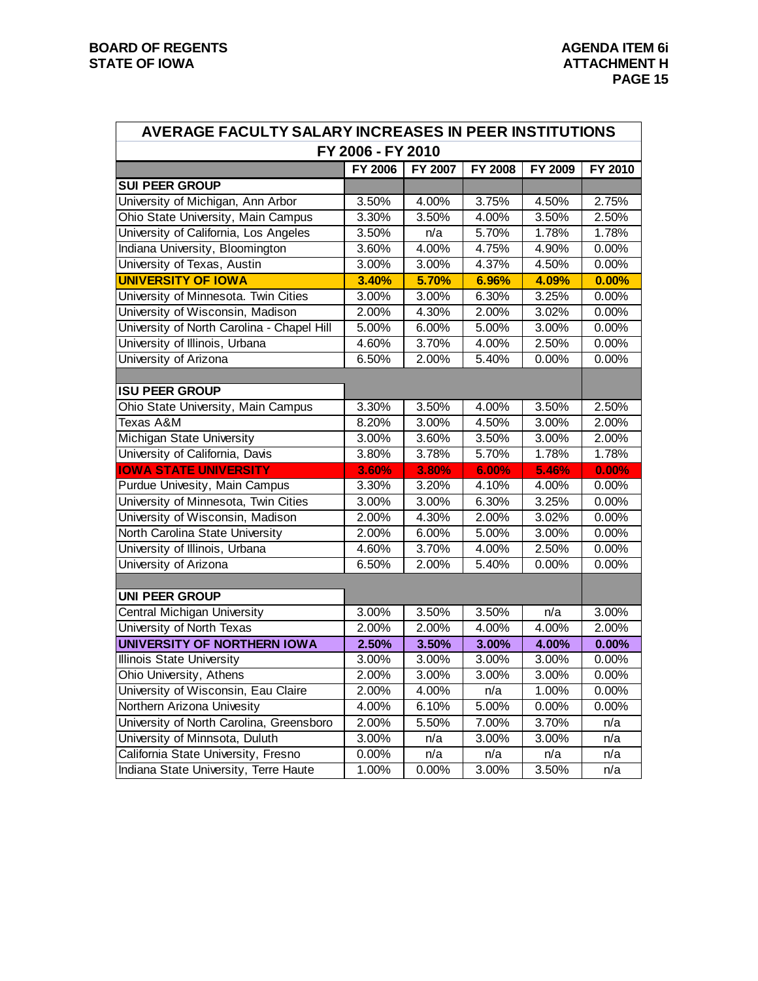| AVERAGE FACULTY SALARY INCREASES IN PEER INSTITUTIONS |                   |         |         |          |          |  |  |  |  |  |  |
|-------------------------------------------------------|-------------------|---------|---------|----------|----------|--|--|--|--|--|--|
|                                                       | FY 2006 - FY 2010 |         |         |          |          |  |  |  |  |  |  |
|                                                       | FY 2006           | FY 2007 | FY 2008 | FY 2009  | FY 2010  |  |  |  |  |  |  |
| <b>SUI PEER GROUP</b>                                 |                   |         |         |          |          |  |  |  |  |  |  |
| University of Michigan, Ann Arbor                     | 3.50%             | 4.00%   | 3.75%   | 4.50%    | 2.75%    |  |  |  |  |  |  |
| Ohio State University, Main Campus                    | 3.30%             | 3.50%   | 4.00%   | 3.50%    | 2.50%    |  |  |  |  |  |  |
| University of California, Los Angeles                 | 3.50%             | n/a     | 5.70%   | 1.78%    | 1.78%    |  |  |  |  |  |  |
| Indiana University, Bloomington                       | 3.60%             | 4.00%   | 4.75%   | 4.90%    | 0.00%    |  |  |  |  |  |  |
| University of Texas, Austin                           | 3.00%             | 3.00%   | 4.37%   | 4.50%    | 0.00%    |  |  |  |  |  |  |
| <b>UNIVERSITY OF IOWA</b>                             | 3.40%             | 5.70%   | 6.96%   | 4.09%    | 0.00%    |  |  |  |  |  |  |
| University of Minnesota. Twin Cities                  | 3.00%             | 3.00%   | 6.30%   | 3.25%    | 0.00%    |  |  |  |  |  |  |
| University of Wisconsin, Madison                      | 2.00%             | 4.30%   | 2.00%   | 3.02%    | 0.00%    |  |  |  |  |  |  |
| University of North Carolina - Chapel Hill            | 5.00%             | 6.00%   | 5.00%   | 3.00%    | 0.00%    |  |  |  |  |  |  |
| University of Illinois, Urbana                        | 4.60%             | 3.70%   | 4.00%   | 2.50%    | 0.00%    |  |  |  |  |  |  |
| University of Arizona                                 | 6.50%             | 2.00%   | 5.40%   | $0.00\%$ | 0.00%    |  |  |  |  |  |  |
|                                                       |                   |         |         |          |          |  |  |  |  |  |  |
| <b>ISU PEER GROUP</b>                                 |                   |         |         |          |          |  |  |  |  |  |  |
| Ohio State University, Main Campus                    | 3.30%             | 3.50%   | 4.00%   | 3.50%    | 2.50%    |  |  |  |  |  |  |
| Texas A&M                                             | 8.20%             | 3.00%   | 4.50%   | 3.00%    | 2.00%    |  |  |  |  |  |  |
| <b>Michigan State University</b>                      | 3.00%             | 3.60%   | 3.50%   | 3.00%    | 2.00%    |  |  |  |  |  |  |
| University of California, Davis                       | 3.80%             | 3.78%   | 5.70%   | 1.78%    | 1.78%    |  |  |  |  |  |  |
| <b>IOWA STATE UNIVERSITY</b>                          | 3.60%             | 3.80%   | 6.00%   | 5.46%    | 0.00%    |  |  |  |  |  |  |
| Purdue Univesity, Main Campus                         | 3.30%             | 3.20%   | 4.10%   | 4.00%    | 0.00%    |  |  |  |  |  |  |
| University of Minnesota, Twin Cities                  | 3.00%             | 3.00%   | 6.30%   | 3.25%    | 0.00%    |  |  |  |  |  |  |
| University of Wisconsin, Madison                      | 2.00%             | 4.30%   | 2.00%   | 3.02%    | 0.00%    |  |  |  |  |  |  |
| North Carolina State University                       | 2.00%             | 6.00%   | 5.00%   | 3.00%    | 0.00%    |  |  |  |  |  |  |
| University of Illinois, Urbana                        | 4.60%             | 3.70%   | 4.00%   | 2.50%    | 0.00%    |  |  |  |  |  |  |
| University of Arizona                                 | 6.50%             | 2.00%   | 5.40%   | 0.00%    | 0.00%    |  |  |  |  |  |  |
|                                                       |                   |         |         |          |          |  |  |  |  |  |  |
| <b>UNI PEER GROUP</b>                                 |                   |         |         |          |          |  |  |  |  |  |  |
| <b>Central Michigan University</b>                    | 3.00%             | 3.50%   | 3.50%   | n/a      | 3.00%    |  |  |  |  |  |  |
| University of North Texas                             | 2.00%             | 2.00%   | 4.00%   | 4.00%    | 2.00%    |  |  |  |  |  |  |
| <b>UNIVERSITY OF NORTHERN IOWA</b>                    | 2.50%             | 3.50%   | 3.00%   | 4.00%    | 0.00%    |  |  |  |  |  |  |
| <b>Illinois State University</b>                      | 3.00%             | 3.00%   | 3.00%   | $3.00\%$ | 0.00%    |  |  |  |  |  |  |
| Ohio University, Athens                               | 2.00%             | 3.00%   | 3.00%   | 3.00%    | 0.00%    |  |  |  |  |  |  |
| University of Wisconsin, Eau Claire                   | 2.00%             | 4.00%   | n/a     | 1.00%    | $0.00\%$ |  |  |  |  |  |  |
| Northern Arizona Univesity                            | 4.00%             | 6.10%   | 5.00%   | 0.00%    | 0.00%    |  |  |  |  |  |  |
| University of North Carolina, Greensboro              | 2.00%             | 5.50%   | 7.00%   | 3.70%    | n/a      |  |  |  |  |  |  |
| University of Minnsota, Duluth                        | 3.00%             | n/a     | 3.00%   | 3.00%    | n/a      |  |  |  |  |  |  |
| California State University, Fresno                   | 0.00%             | n/a     | n/a     | n/a      | n/a      |  |  |  |  |  |  |
| Indiana State University, Terre Haute                 | 1.00%             | 0.00%   | 3.00%   | 3.50%    | n/a      |  |  |  |  |  |  |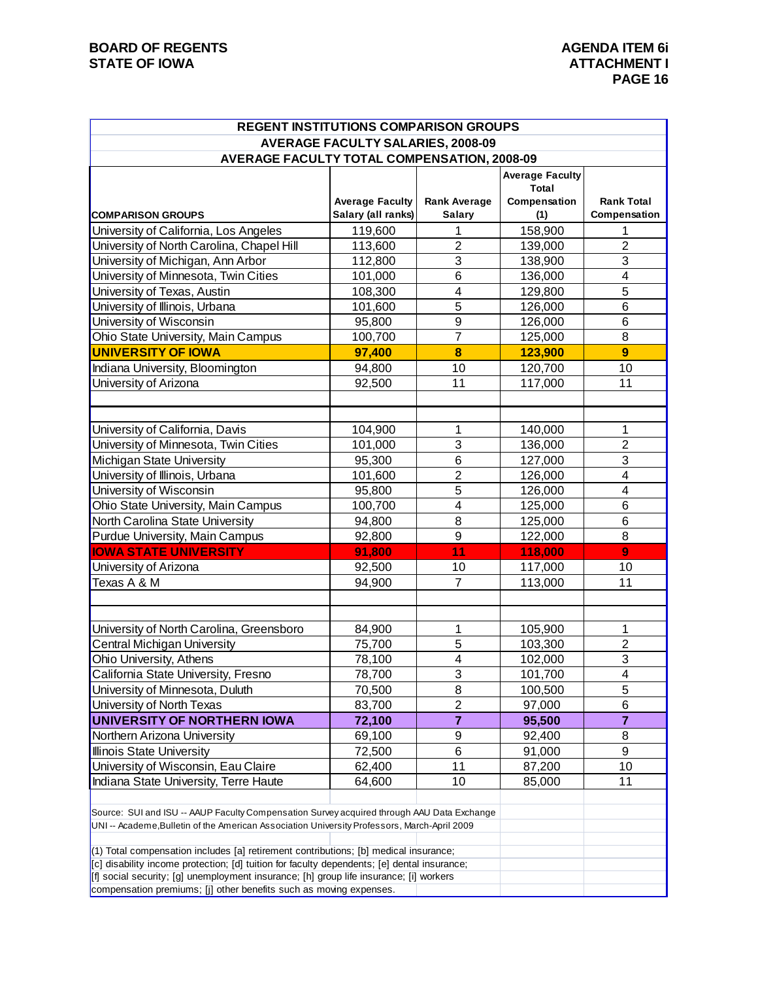| <b>REGENT INSTITUTIONS COMPARISON GROUPS</b>                                                                                                                                                                                                                                      |                                          |                         |                                                 |                         |  |  |  |  |  |  |  |
|-----------------------------------------------------------------------------------------------------------------------------------------------------------------------------------------------------------------------------------------------------------------------------------|------------------------------------------|-------------------------|-------------------------------------------------|-------------------------|--|--|--|--|--|--|--|
|                                                                                                                                                                                                                                                                                   | <b>AVERAGE FACULTY SALARIES, 2008-09</b> |                         |                                                 |                         |  |  |  |  |  |  |  |
| <b>AVERAGE FACULTY TOTAL COMPENSATION, 2008-09</b>                                                                                                                                                                                                                                |                                          |                         |                                                 |                         |  |  |  |  |  |  |  |
|                                                                                                                                                                                                                                                                                   | <b>Average Faculty</b>                   | <b>Rank Average</b>     | <b>Average Faculty</b><br>Total<br>Compensation | <b>Rank Total</b>       |  |  |  |  |  |  |  |
| <b>COMPARISON GROUPS</b>                                                                                                                                                                                                                                                          | Salary (all ranks)                       | <b>Salary</b>           | (1)                                             | Compensation            |  |  |  |  |  |  |  |
| University of California, Los Angeles                                                                                                                                                                                                                                             | 119,600                                  | 1                       | 158,900                                         | 1                       |  |  |  |  |  |  |  |
| University of North Carolina, Chapel Hill                                                                                                                                                                                                                                         | 113,600                                  | $\overline{2}$          | 139,000                                         | $\overline{2}$          |  |  |  |  |  |  |  |
| University of Michigan, Ann Arbor                                                                                                                                                                                                                                                 | 112,800                                  | 3                       | 138,900                                         | 3                       |  |  |  |  |  |  |  |
| University of Minnesota, Twin Cities                                                                                                                                                                                                                                              | 101,000                                  | 6                       | 136,000                                         | $\overline{\mathbf{4}}$ |  |  |  |  |  |  |  |
| University of Texas, Austin                                                                                                                                                                                                                                                       | 108,300                                  | 4                       | 129,800                                         | 5                       |  |  |  |  |  |  |  |
| University of Illinois, Urbana                                                                                                                                                                                                                                                    | 101,600                                  | 5                       | 126,000                                         | 6                       |  |  |  |  |  |  |  |
| University of Wisconsin                                                                                                                                                                                                                                                           | 95,800                                   | 9                       | 126,000                                         | 6                       |  |  |  |  |  |  |  |
| Ohio State University, Main Campus                                                                                                                                                                                                                                                | 100,700                                  | $\overline{7}$          | 125,000                                         | 8                       |  |  |  |  |  |  |  |
| <b>UNIVERSITY OF IOWA</b>                                                                                                                                                                                                                                                         | 97,400                                   | 8                       | 123,900                                         | $\overline{9}$          |  |  |  |  |  |  |  |
| Indiana University, Bloomington                                                                                                                                                                                                                                                   | 94,800                                   | 10                      | 120,700                                         | 10                      |  |  |  |  |  |  |  |
| University of Arizona                                                                                                                                                                                                                                                             | 92,500                                   | 11                      | 117,000                                         | 11                      |  |  |  |  |  |  |  |
| University of California, Davis                                                                                                                                                                                                                                                   | 104,900                                  | 1                       | 140,000                                         | 1                       |  |  |  |  |  |  |  |
| University of Minnesota, Twin Cities                                                                                                                                                                                                                                              | 101,000                                  | 3                       | 136,000                                         | $\overline{2}$          |  |  |  |  |  |  |  |
| Michigan State University                                                                                                                                                                                                                                                         | 95,300                                   | 6                       | 127,000                                         | 3                       |  |  |  |  |  |  |  |
| University of Illinois, Urbana                                                                                                                                                                                                                                                    | 101,600                                  | $\overline{2}$          | 126,000                                         | $\overline{\mathbf{4}}$ |  |  |  |  |  |  |  |
| University of Wisconsin                                                                                                                                                                                                                                                           | 95,800                                   | 5                       | 126,000                                         | 4                       |  |  |  |  |  |  |  |
| Ohio State University, Main Campus                                                                                                                                                                                                                                                | 100,700                                  | 4                       | 125,000                                         | 6                       |  |  |  |  |  |  |  |
| North Carolina State University                                                                                                                                                                                                                                                   | 94,800                                   | 8                       | 125,000                                         | 6                       |  |  |  |  |  |  |  |
| Purdue University, Main Campus                                                                                                                                                                                                                                                    | 92,800                                   | 9                       | 122,000                                         | 8                       |  |  |  |  |  |  |  |
| <b>IOWA STATE UNIVERSITY</b>                                                                                                                                                                                                                                                      | 91,800                                   | 11                      | 118,000                                         | 9                       |  |  |  |  |  |  |  |
| University of Arizona                                                                                                                                                                                                                                                             | 92,500                                   | 10                      | 117,000                                         | 10                      |  |  |  |  |  |  |  |
| Texas A & M                                                                                                                                                                                                                                                                       | 94,900                                   | 7                       | 113,000                                         | 11                      |  |  |  |  |  |  |  |
|                                                                                                                                                                                                                                                                                   |                                          |                         |                                                 |                         |  |  |  |  |  |  |  |
| University of North Carolina, Greensboro                                                                                                                                                                                                                                          | 84,900                                   | 1                       | 105,900                                         | 1                       |  |  |  |  |  |  |  |
| Central Michigan University                                                                                                                                                                                                                                                       | 75,700                                   | 5                       | 103,300                                         | $\overline{2}$          |  |  |  |  |  |  |  |
| Ohio University, Athens                                                                                                                                                                                                                                                           | 78,100                                   | $\overline{\mathbf{4}}$ | 102,000                                         | $\overline{3}$          |  |  |  |  |  |  |  |
| California State University, Fresno                                                                                                                                                                                                                                               | 78,700                                   | 3                       | 101,700                                         | 4                       |  |  |  |  |  |  |  |
| University of Minnesota, Duluth                                                                                                                                                                                                                                                   | 70,500                                   | 8                       | 100,500                                         | 5                       |  |  |  |  |  |  |  |
| University of North Texas                                                                                                                                                                                                                                                         | 83,700                                   | $\overline{\mathbf{c}}$ | 97,000                                          | 6                       |  |  |  |  |  |  |  |
| UNIVERSITY OF NORTHERN IOWA                                                                                                                                                                                                                                                       | 72,100                                   | $\overline{\mathbf{r}}$ | 95,500                                          | $\overline{7}$          |  |  |  |  |  |  |  |
| Northern Arizona University                                                                                                                                                                                                                                                       | 69,100                                   | 9                       | 92,400                                          | 8                       |  |  |  |  |  |  |  |
| Illinois State University                                                                                                                                                                                                                                                         | 72,500                                   | 6                       | 91,000                                          | 9                       |  |  |  |  |  |  |  |
| University of Wisconsin, Eau Claire                                                                                                                                                                                                                                               | 62,400                                   | 11                      | 87,200                                          | 10                      |  |  |  |  |  |  |  |
| Indiana State University, Terre Haute                                                                                                                                                                                                                                             | 64,600                                   | 10                      | 85,000                                          | 11                      |  |  |  |  |  |  |  |
| Source: SUI and ISU -- AAUP Faculty Compensation Survey acquired through AAU Data Exchange<br>UNI -- Academe.Bulletin of the American Association University Professors, March-April 2009<br>(1) Total compensation includes [a] retirement contributions; [b] medical insurance; |                                          |                         |                                                 |                         |  |  |  |  |  |  |  |
| [c] disability income protection; [d] tuition for faculty dependents; [e] dental insurance;<br>[f] social security; [g] unemployment insurance; [h] group life insurance; [i] workers                                                                                             |                                          |                         |                                                 |                         |  |  |  |  |  |  |  |
| compensation premiums; [j] other benefits such as moving expenses.                                                                                                                                                                                                                |                                          |                         |                                                 |                         |  |  |  |  |  |  |  |